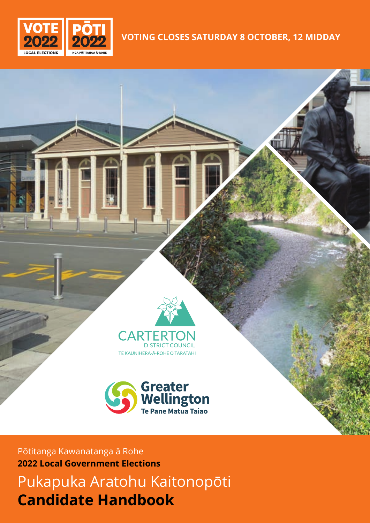

## **VOTING CLOSES SATURDAY 8 OCTOBER, 12 MIDDAY**



TE KAUNIHERA-Ā-ROHE O TARATAHI



Pōtitanga Kawanatanga ā Rohe **2022 Local Government Elections**

Pukapuka Aratohu Kaitonopōti **Candidate Handbook**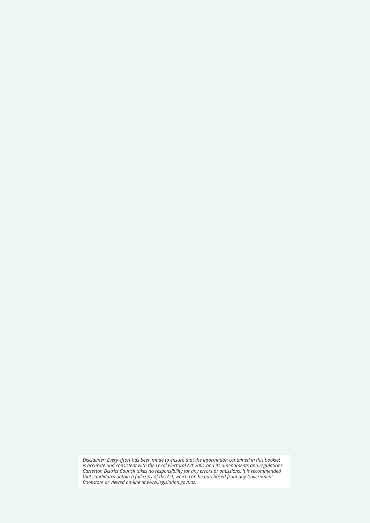*Disclaimer: Every effort has been made to ensure that the information contained in this booklet is accurate and consistent with the Local Electoral Act 2001 and its amendments and regulations. Carterton District Council takes no responsibility for any errors or omissions. It is recommended that candidates obtain a full copy of the Act, which can be purchased from any Government Bookstore or viewed on-line at www.legislation.govt.nz.*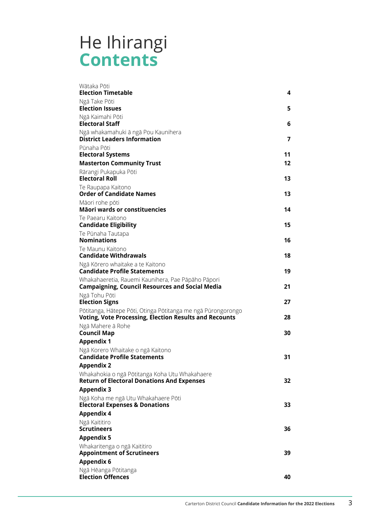## He Ihirangi **Contents**

| Wātaka Pōti<br><b>Election Timetable</b>                                                                               | 4                       |
|------------------------------------------------------------------------------------------------------------------------|-------------------------|
| Ngā Take Pōti                                                                                                          |                         |
| <b>Election Issues</b>                                                                                                 | 5                       |
| Ngā Kaimahi Pōti<br><b>Electoral Staff</b>                                                                             | 6                       |
| Ngā whakamahuki ā ngā Pou Kaunihera<br><b>District Leaders Information</b>                                             | $\overline{\mathbf{z}}$ |
| Pūnaha Pōti                                                                                                            |                         |
| <b>Electoral Systems</b>                                                                                               | 11                      |
| <b>Masterton Community Trust</b>                                                                                       | 12 <sup>2</sup>         |
| Rārangi Pukapuka Pōti<br><b>Electoral Roll</b>                                                                         | 13                      |
| Te Raupapa Kaitono<br><b>Order of Candidate Names</b>                                                                  | 13                      |
| Māori rohe pōti<br>Māori wards or constituencies                                                                       | 14                      |
| Te Paearu Kaitono<br><b>Candidate Eligibility</b>                                                                      | 15                      |
| Te Pūnaha Tautapa<br><b>Nominations</b>                                                                                | 16                      |
| Te Maunu Kaitono<br><b>Candidate Withdrawals</b>                                                                       | 18                      |
| Ngā Kōrero whaitake a te Kaitono<br><b>Candidate Profile Statements</b>                                                | 19                      |
| Whakahaeretia, Rauemi Kaunihera, Pae Pāpāho Pāpori<br><b>Campaigning, Council Resources and Social Media</b>           | 21                      |
| Ngā Tohu Pōti<br><b>Election Signs</b>                                                                                 | 27                      |
| Pōtitanga, Hātepe Pōti, Otinga Pōtitanga me ngā Pūrongorongo<br>Voting, Vote Processing, Election Results and Recounts | 28                      |
| Ngā Mahere ā Rohe<br>Council Map                                                                                       | 30                      |
| <b>Appendix 1</b>                                                                                                      |                         |
| Ngā Korero Whaitake o ngā Kaitono<br><b>Candidate Profile Statements</b>                                               | 31                      |
| <b>Appendix 2</b>                                                                                                      |                         |
| Whakahokia o ngā Pōtitanga Koha Utu Whakahaere<br><b>Return of Electoral Donations And Expenses</b>                    | 32                      |
| Appendix 3                                                                                                             |                         |
| Ngā Koha me ngā Utu Whakahaere Pōti<br><b>Electoral Expenses &amp; Donations</b>                                       | 33                      |
| Appendix 4                                                                                                             |                         |
| Ngā Kaititiro                                                                                                          |                         |
| <b>Scrutineers</b>                                                                                                     | 36                      |
| <b>Appendix 5</b>                                                                                                      |                         |
| Whakaritenga o ngā Kaititiro<br><b>Appointment of Scrutineers</b>                                                      | 39                      |
| Appendix 6                                                                                                             |                         |
| Ngā Hēanga Pōtitanga<br><b>Election Offences</b>                                                                       | 40                      |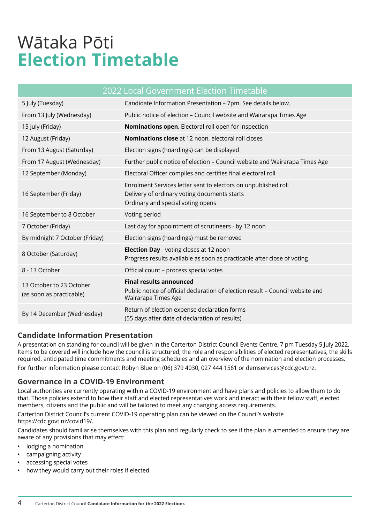# <span id="page-3-0"></span>Wātaka Pōti **Election Timetable**

|                                                      | 2022 Local Government Election Timetable                                                                                                            |
|------------------------------------------------------|-----------------------------------------------------------------------------------------------------------------------------------------------------|
| 5 July (Tuesday)                                     | Candidate Information Presentation - 7pm. See details below.                                                                                        |
| From 13 July (Wednesday)                             | Public notice of election - Council website and Wairarapa Times Age                                                                                 |
| 15 July (Friday)                                     | Nominations open. Electoral roll open for inspection                                                                                                |
| 12 August (Friday)                                   | Nominations close at 12 noon, electoral roll closes                                                                                                 |
| From 13 August (Saturday)                            | Election signs (hoardings) can be displayed                                                                                                         |
| From 17 August (Wednesday)                           | Further public notice of election - Council website and Wairarapa Times Age                                                                         |
| 12 September (Monday)                                | Electoral Officer compiles and certifies final electoral roll                                                                                       |
| 16 September (Friday)                                | Enrolment Services letter sent to electors on unpublished roll<br>Delivery of ordinary voting documents starts<br>Ordinary and special voting opens |
| 16 September to 8 October                            | Voting period                                                                                                                                       |
| 7 October (Friday)                                   | Last day for appointment of scrutineers - by 12 noon                                                                                                |
| By midnight 7 October (Friday)                       | Election signs (hoardings) must be removed                                                                                                          |
| 8 October (Saturday)                                 | <b>Election Day</b> - voting closes at 12 noon<br>Progress results available as soon as practicable after close of voting                           |
| 8 - 13 October                                       | Official count - process special votes                                                                                                              |
| 13 October to 23 October<br>(as soon as practicable) | <b>Final results announced</b><br>Public notice of official declaration of election result – Council website and<br>Wairarapa Times Age             |
| By 14 December (Wednesday)                           | Return of election expense declaration forms<br>(55 days after date of declaration of results)                                                      |

## **Candidate Information Presentation**

A presentation on standing for council will be given in the Carterton District Council Events Centre, 7 pm Tuesday 5 July 2022. Items to be covered will include how the council is structured, the role and responsibilities of elected representatives, the skills required, anticipated time commitments and meeting schedules and an overview of the nomination and election processes. For further information please contact Robyn Blue on (06) 379 4030, 027 444 1561 or demservices@cdc.govt.nz.

## **Governance in a COVID-19 Environment**

Local authorities are currently operating within a COVID-19 environment and have plans and policies to allow them to do that. Those policies extend to how their staff and elected representatives work and ineract with their fellow staff, elected members, citizens and the public and will be tailored to meet any changing access requirements.

Carterton District Council's current COVID-19 operating plan can be viewed on the Council's website https://cdc.govt.nz/covid19/.

Candidates should familiarise themselves with this plan and regularly check to see if the plan is amended to ensure they are aware of any provisions that may effect:

- lodging a nomination
- campaigning activity
- accessing special votes
- how they would carry out their roles if elected.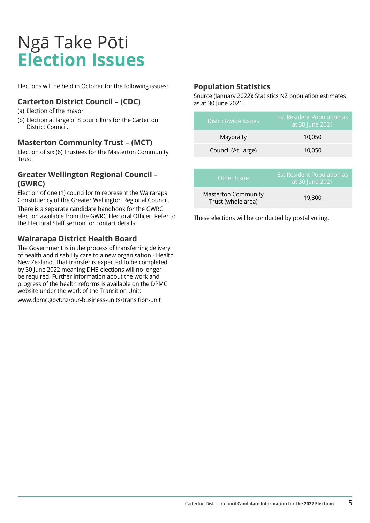## <span id="page-4-0"></span>Ngā Take Pōti **Election Issues**

Elections will be held in October for the following issues:

## **Carterton District Council – (CDC)**

- (a) Election of the mayor
- (b) Election at large of 8 councillors for the Carterton District Council.

## **Masterton Community Trust – (MCT)**

Election of six (6) Trustees for the Masterton Community Trust.

## **Greater Wellington Regional Council – (GWRC)**

Election of one (1) councillor to represent the Wairarapa Constituency of the Greater Wellington Regional Council. There is a separate candidate handbook for the GWRC election available from the GWRC Electoral Officer. Refer to

## **Wairarapa District Health Board**

the Electoral Staff section for contact details.

The Government is in the process of transferring delivery of health and disability care to a new organisation - Health New Zealand. That transfer is expected to be completed by 30 June 2022 meaning DHB elections will no longer be required. Further information about the work and progress of the health reforms is available on the DPMC website under the work of the Transition Unit:

www.dpmc.govt.nz/our-business-units/transition-unit

### **Population Statistics**

Source (January 2022): Statistics NZ population estimates as at 30 June 2021.

| District-wide Issues | <b>Est Resident Population as</b><br>at 30 June 2021 |
|----------------------|------------------------------------------------------|
| Mayoralty            | 10,050                                               |
| Council (At Large)   | 10,050                                               |

| Other Issue                                      | Est Resident Population as<br>at 30 June 2021 |
|--------------------------------------------------|-----------------------------------------------|
| <b>Masterton Community</b><br>Trust (whole area) | 19,300                                        |

These elections will be conducted by postal voting.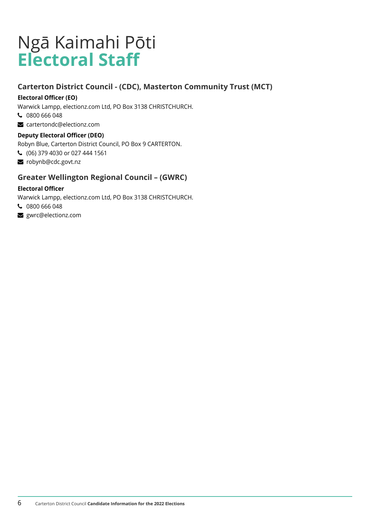## <span id="page-5-0"></span>Ngā Kaimahi Pōti **Electoral Staff**

## **Carterton District Council - (CDC), Masterton Community Trust (MCT)**

### **Electoral Officer (EO)**

Warwick Lampp, electionz.com Ltd, PO Box 3138 CHRISTCHURCH.

- 0800 666 048
- cartertondc@electionz.com

### **Deputy Electoral Officer (DEO)**

Robyn Blue, Carterton District Council, PO Box 9 CARTERTON.

- (06) 379 4030 or 027 444 1561
- robynb@cdc.govt.nz

## **Greater Wellington Regional Council – (GWRC)**

### **Electoral Officer**

Warwick Lampp, electionz.com Ltd, PO Box 3138 CHRISTCHURCH.

- 0800 666 048
- surc@electionz.com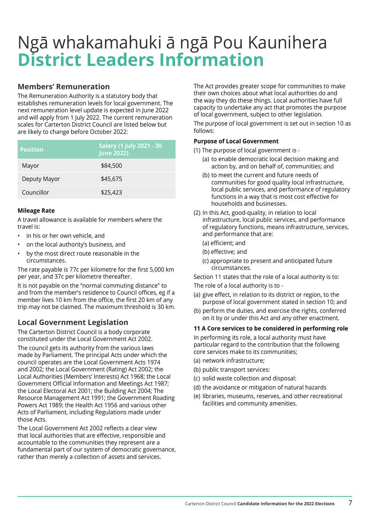## <span id="page-6-0"></span>Ngā whakamahuki ā ngā Pou Kaunihera **District Leaders Information**

## **Members' Remuneration**

The Remuneration Authority is a statutory body that establishes remuneration levels for local government. The next remuneration level update is expected in June 2022 and will apply from 1 July 2022. The current remuneration scales for Carterton District Council are listed below but are likely to change before October 2022:

| <b>Position</b> | <b>Salary (1 July 2021 - 30</b><br><b>June 2022)</b> |
|-----------------|------------------------------------------------------|
| Mayor           | \$84,500                                             |
| Deputy Mayor    | \$45,675                                             |
| Councillor      | \$25,423                                             |

### **Mileage Rate**

A travel allowance is available for members where the travel is:

- in his or her own vehicle, and
- on the local authority's business, and
- by the most direct route reasonable in the circumstances.

The rate payable is 77c per kilometre for the first 5,000 km per year, and 37c per kilometre thereafter.

It is not payable on the "normal commuting distance" to and from the member's residence to Council offices, eg if a member lives 10 km from the office, the first 20 km of any trip may not be claimed. The maximum threshold is 30 km.

## **Local Government Legislation**

The Carterton District Council is a body corporate constituted under the Local Government Act 2002.

The council gets its authority from the various laws made by Parliament. The principal Acts under which the council operates are the Local Government Acts 1974 and 2002; the Local Government (Rating) Act 2002; the Local Authorities (Members' Interests) Act 1968; the Local Government Official Information and Meetings Act 1987; the Local Electoral Act 2001; the Building Act 2004; The Resource Management Act 1991; the Government Roading Powers Act 1989; the Health Act 1956 and various other Acts of Parliament, including Regulations made under those Acts.

The Local Government Act 2002 reflects a clear view that local authorities that are effective, responsible and accountable to the communities they represent are a fundamental part of our system of democratic governance, rather than merely a collection of assets and services.

The Act provides greater scope for communities to make their own choices about what local authorities do and the way they do these things. Local authorities have full capacity to undertake any act that promotes the purpose of local government, subject to other legislation.

The purpose of local government is set out in section 10 as follows:

#### **Purpose of Local Government**

- (1) The purpose of local government is
	- (a) to enable democratic local decision making and action by, and on behalf of, communities; and
	- (b) to meet the current and future needs of communities for good quality local infrastructure, local public services, and performance of regulatory functions in a way that is most cost effective for households and businesses.
- (2) In this Act, good-quality, in relation to local infrastructure, local public services, and performance of regulatory functions, means infrastructure, services, and performance that are:
	- (a) efficient; and
	- (b) effective; and
	- (c) appropriate to present and anticipated future circumstances.

Section 11 states that the role of a local authority is to:

The role of a local authority is to -

- (a) give effect, in relation to its district or region, to the purpose of local government stated in section 10; and
- (b) perform the duties, and exercise the rights, conferred on it by or under this Act and any other enactment.

#### **11 A Core services to be considered in performing role**

In performing its role, a local authority must have particular regard to the contribution that the following core services make to its communities;

- (a) network infrastructure;
- (b) public transport services:
- (c) solid waste collection and disposal:
- (d) the avoidance or mitigation of natural hazards
- (e) libraries, museums, reserves, and other recreational facilities and community amenities.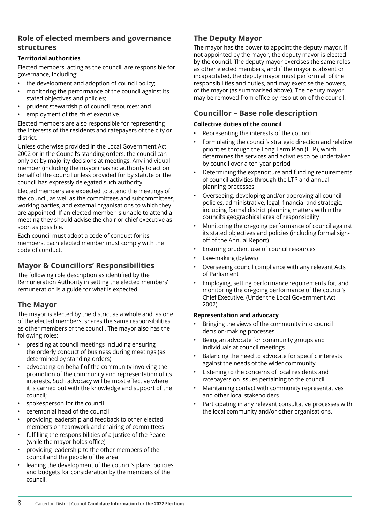### **Role of elected members and governance structures**

#### **Territorial authorities**

Elected members, acting as the council, are responsible for governance, including:

- the development and adoption of council policy;
- monitoring the performance of the council against its stated objectives and policies;
- prudent stewardship of council resources; and
- employment of the chief executive.

Elected members are also responsible for representing the interests of the residents and ratepayers of the city or district.

Unless otherwise provided in the Local Government Act 2002 or in the Council's standing orders, the council can only act by majority decisions at meetings. Any individual member (including the mayor) has no authority to act on behalf of the council unless provided for by statute or the council has expressly delegated such authority.

Elected members are expected to attend the meetings of the council, as well as the committees and subcommittees, working parties, and external organisations to which they are appointed. If an elected member is unable to attend a meeting they should advise the chair or chief executive as soon as possible.

Each council must adopt a code of conduct for its members. Each elected member must comply with the code of conduct.

## **Mayor & Councillors' Responsibilities**

The following role description as identified by the Remuneration Authority in setting the elected members' remuneration is a guide for what is expected.

## **The Mayor**

The mayor is elected by the district as a whole and, as one of the elected members, shares the same responsibilities as other members of the council. The mayor also has the following roles:

- presiding at council meetings including ensuring the orderly conduct of business during meetings (as determined by standing orders)
- advocating on behalf of the community involving the promotion of the community and representation of its interests. Such advocacy will be most effective where it is carried out with the knowledge and support of the council;
- spokesperson for the council
- ceremonial head of the council
- providing leadership and feedback to other elected members on teamwork and chairing of committees
- fulfilling the responsibilities of a Justice of the Peace (while the mayor holds office)
- providing leadership to the other members of the council and the people of the area
- leading the development of the council's plans, policies, and budgets for consideration by the members of the council.

## **The Deputy Mayor**

The mayor has the power to appoint the deputy mayor. If not appointed by the mayor, the deputy mayor is elected by the council. The deputy mayor exercises the same roles as other elected members, and if the mayor is absent or incapacitated, the deputy mayor must perform all of the responsibilities and duties, and may exercise the powers, of the mayor (as summarised above). The deputy mayor may be removed from office by resolution of the council.

## **Councillor – Base role description**

#### **Collective duties of the council**

- Representing the interests of the council
- Formulating the council's strategic direction and relative priorities through the Long Term Plan (LTP), which determines the services and activities to be undertaken by council over a ten-year period
- Determining the expenditure and funding requirements of council activities through the LTP and annual planning processes
- Overseeing, developing and/or approving all council policies, administrative, legal, financial and strategic, including formal district planning matters within the council's geographical area of responsibility
- Monitoring the on-going performance of council against its stated objectives and policies (including formal signoff of the Annual Report)
- Ensuring prudent use of council resources
- Law-making (bylaws)
- Overseeing council compliance with any relevant Acts of Parliament
- Employing, setting performance requirements for, and monitoring the on-going performance of the council's Chief Executive. (Under the Local Government Act 2002).

#### **Representation and advocacy**

- Bringing the views of the community into council decision-making processes
- Being an advocate for community groups and individuals at council meetings
- Balancing the need to advocate for specific interests against the needs of the wider community
- Listening to the concerns of local residents and ratepayers on issues pertaining to the council
- Maintaining contact with community representatives and other local stakeholders
- Participating in any relevant consultative processes with the local community and/or other organisations.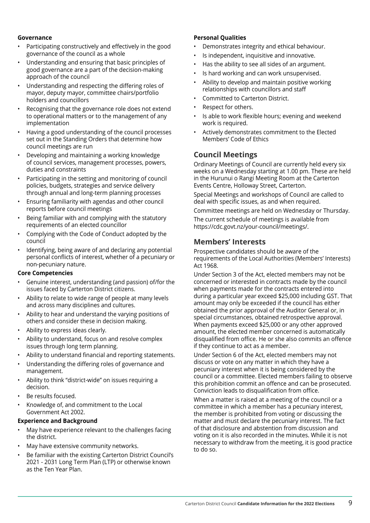#### **Governance**

- Participating constructively and effectively in the good governance of the council as a whole
- Understanding and ensuring that basic principles of good governance are a part of the decision-making approach of the council
- Understanding and respecting the differing roles of mayor, deputy mayor, committee chairs/portfolio holders and councillors
- Recognising that the governance role does not extend to operational matters or to the management of any implementation
- Having a good understanding of the council processes set out in the Standing Orders that determine how council meetings are run
- Developing and maintaining a working knowledge of council services, management processes, powers, duties and constraints
- Participating in the setting and monitoring of council policies, budgets, strategies and service delivery through annual and long-term planning processes
- Ensuring familiarity with agendas and other council reports before council meetings
- Being familiar with and complying with the statutory requirements of an elected councillor
- Complying with the Code of Conduct adopted by the council
- Identifying, being aware of and declaring any potential personal conflicts of interest, whether of a pecuniary or non-pecuniary nature.

#### **Core Competencies**

- Genuine interest, understanding (and passion) of/for the issues faced by Carterton District citizens.
- Ability to relate to wide range of people at many levels and across many disciplines and cultures.
- Ability to hear and understand the varying positions of others and consider these in decision making.
- Ability to express ideas clearly.
- Ability to understand, focus on and resolve complex issues through long term planning.
- Ability to understand financial and reporting statements.
- Understanding the differing roles of governance and management.
- Ability to think "district-wide" on issues requiring a decision.
- Be results focused.
- Knowledge of, and commitment to the Local Government Act 2002.

#### **Experience and Background**

- May have experience relevant to the challenges facing the district.
- May have extensive community networks.
- Be familiar with the existing Carterton District Council's 2021 - 2031 Long Term Plan (LTP) or otherwise known as the Ten Year Plan.

#### **Personal Qualities**

- Demonstrates integrity and ethical behaviour.
- Is independent, inquisitive and innovative.
- Has the ability to see all sides of an argument.
- Is hard working and can work unsupervised.
- Ability to develop and maintain positive working relationships with councillors and staff
- Committed to Carterton District.
- Respect for others.
- Is able to work flexible hours; evening and weekend work is required.
- Actively demonstrates commitment to the Elected Members' Code of Ethics

### **Council Meetings**

Ordinary Meetings of Council are currently held every six weeks on a Wednesday starting at 1.00 pm. These are held in the Hurunui o Rangi Meeting Room at the Carterton Events Centre, Holloway Street, Carterton.

Special Meetings and workshops of Council are called to deal with specific issues, as and when required.

Committee meetings are held on Wednesday or Thursday. The current schedule of meetings is available from https://cdc.govt.nz/your-council/meetings/.

### **Members' Interests**

Prospective candidates should be aware of the requirements of the Local Authorities (Members' Interests) Act 1968.

Under Section 3 of the Act, elected members may not be concerned or interested in contracts made by the council when payments made for the contracts entered into during a particular year exceed \$25,000 including GST. That amount may only be exceeded if the council has either obtained the prior approval of the Auditor General or, in special circumstances, obtained retrospective approval. When payments exceed \$25,000 or any other approved amount, the elected member concerned is automatically disqualified from office. He or she also commits an offence if they continue to act as a member.

Under Section 6 of the Act, elected members may not discuss or vote on any matter in which they have a pecuniary interest when it is being considered by the council or a committee. Elected members failing to observe this prohibition commit an offence and can be prosecuted. Conviction leads to disqualification from office.

When a matter is raised at a meeting of the council or a committee in which a member has a pecuniary interest, the member is prohibited from voting or discussing the matter and must declare the pecuniary interest. The fact of that disclosure and abstention from discussion and voting on it is also recorded in the minutes. While it is not necessary to withdraw from the meeting, it is good practice to do so.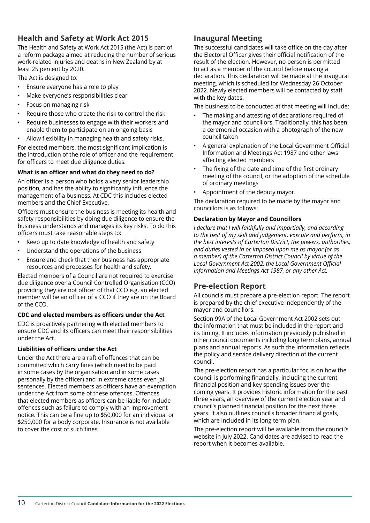## **Health and Safety at Work Act 2015**

The Health and Safety at Work Act 2015 (the Act) is part of a reform package aimed at reducing the number of serious work-related injuries and deaths in New Zealand by at least 25 percent by 2020.

The Act is designed to:

- Ensure everyone has a role to play
- Make everyone's responsibilities clear
- Focus on managing risk
- Require those who create the risk to control the risk
- Require businesses to engage with their workers and enable them to participate on an ongoing basis
- Allow flexibility in managing health and safety risks.

For elected members, the most significant implication is the introduction of the role of officer and the requirement for officers to meet due diligence duties.

#### **What is an officer and what do they need to do?**

An officer is a person who holds a very senior leadership position, and has the ability to significantly influence the management of a business. At CDC this includes elected members and the Chief Executive.

Officers must ensure the business is meeting its health and safety responsibilities by doing due diligence to ensure the business understands and manages its key risks. To do this officers must take reasonable steps to:

- Keep up to date knowledge of health and safety
- Understand the operations of the business
- Ensure and check that their business has appropriate resources and processes for health and safety.

Elected members of a Council are not required to exercise due diligence over a Council Controlled Organisation (CCO) providing they are not officer of that CCO e.g. an elected member will be an officer of a CCO if they are on the Board of the CCO.

#### **CDC and elected members as officers under the Act**

CDC is proactively partnering with elected members to ensure CDC and its officers can meet their responsibilities under the Act.

#### **Liabilities of officers under the Act**

Under the Act there are a raft of offences that can be committed which carry fines (which need to be paid in some cases by the organisation and in some cases personally by the officer) and in extreme cases even jail sentences. Elected members as officers have an exemption under the Act from some of these offences. Offences that elected members as officers can be liable for include offences such as failure to comply with an improvement notice. This can be a fine up to \$50,000 for an individual or \$250,000 for a body corporate. Insurance is not available to cover the cost of such fines.

## **Inaugural Meeting**

The successful candidates will take office on the day after the Electoral Officer gives their official notification of the result of the election. However, no person is permitted to act as a member of the council before making a declaration. This declaration will be made at the inaugural meeting, which is scheduled for Wednesday 26 October 2022. Newly elected members will be contacted by staff with the key dates.

The business to be conducted at that meeting will include:

- The making and attesting of declarations required of the mayor and councillors. Traditionally, this has been a ceremonial occasion with a photograph of the new council taken
- A general explanation of the Local Government Official Information and Meetings Act 1987 and other laws affecting elected members
- The fixing of the date and time of the first ordinary meeting of the council, or the adoption of the schedule of ordinary meetings
- Appointment of the deputy mayor.

The declaration required to be made by the mayor and councillors is as follows:

#### **Declaration by Mayor and Councillors**

*I declare that I will faithfully and impartially, and according to the best of my skill and judgement, execute and perform, in the best interests of Carterton District, the powers, authorities, and duties vested in or imposed upon me as mayor (or as a member) of the Carterton District Council by virtue of the Local Government Act 2002, the Local Government Official Information and Meetings Act 1987, or any other Act.*

## **Pre-election Report**

All councils must prepare a pre-election report. The report is prepared by the chief executive independently of the mayor and councillors.

Section 99A of the Local Government Act 2002 sets out the information that must be included in the report and its timing. It includes information previously published in other council documents including long term plans, annual plans and annual reports. As such the information reflects the policy and service delivery direction of the current council.

The pre-election report has a particular focus on how the council is performing financially, including the current financial position and key spending issues over the coming years. It provides historic information for the past three years, an overview of the current election year and council's planned financial position for the next three years. It also outlines council's broader financial goals, which are included in its long term plan.

The pre-election report will be available from the council's website in July 2022. Candidates are advised to read the report when it becomes available.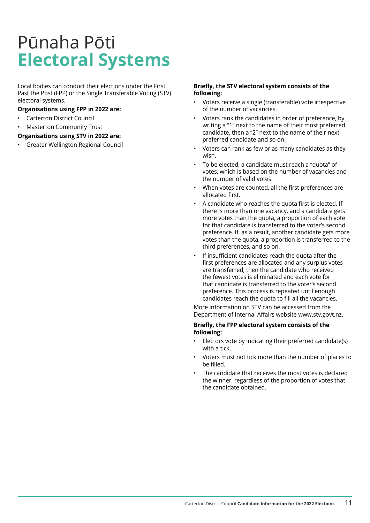# <span id="page-10-0"></span>Pūnaha Pōti **Electoral Systems**

Local bodies can conduct their elections under the First Past the Post (FPP) or the Single Transferable Voting (STV) electoral systems.

#### **Organisations using FPP in 2022 are:**

- Carterton District Council
- Masterton Community Trust

#### **Organisations using STV in 2022 are:**

• Greater Wellington Regional Council

#### **Briefly, the STV electoral system consists of the following:**

- Voters receive a single (transferable) vote irrespective of the number of vacancies.
- Voters rank the candidates in order of preference, by writing a "1" next to the name of their most preferred candidate, then a "2" next to the name of their next preferred candidate and so on.
- Voters can rank as few or as many candidates as they wish.
- To be elected, a candidate must reach a "quota" of votes, which is based on the number of vacancies and the number of valid votes.
- When votes are counted, all the first preferences are allocated first.
- A candidate who reaches the quota first is elected. If there is more than one vacancy, and a candidate gets more votes than the quota, a proportion of each vote for that candidate is transferred to the voter's second preference. If, as a result, another candidate gets more votes than the quota, a proportion is transferred to the third preferences, and so on.
- If insufficient candidates reach the quota after the first preferences are allocated and any surplus votes are transferred, then the candidate who received the fewest votes is eliminated and each vote for that candidate is transferred to the voter's second preference. This process is repeated until enough candidates reach the quota to fill all the vacancies.

More information on STV can be accessed from the Department of Internal Affairs website www.stv.govt.nz.

#### **Briefly, the FPP electoral system consists of the following:**

- Electors vote by indicating their preferred candidate(s) with a tick.
- Voters must not tick more than the number of places to be filled.
- The candidate that receives the most votes is declared the winner, regardless of the proportion of votes that the candidate obtained.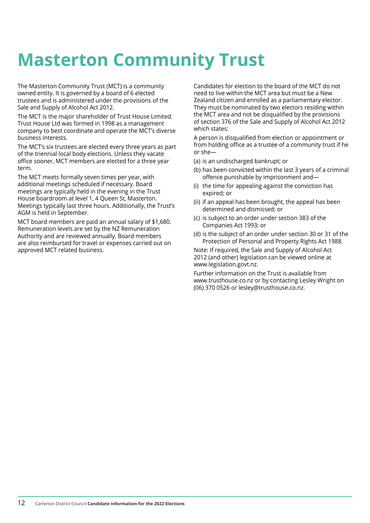# <span id="page-11-0"></span>**Masterton Community Trust**

The Masterton Community Trust (MCT) is a community owned entity. It is governed by a board of 6 elected trustees and is administered under the provisions of the Sale and Supply of Alcohol Act 2012.

The MCT is the major shareholder of Trust House Limited. Trust House Ltd was formed in 1998 as a management company to best coordinate and operate the MCT's diverse business interests.

The MCT's six trustees are elected every three years as part of the triennial local body elections. Unless they vacate office sooner, MCT members are elected for a three year term.

The MCT meets formally seven times per year, with additional meetings scheduled if necessary. Board meetings are typically held in the evening in the Trust House boardroom at level 1, 4 Queen St, Masterton. Meetings typically last three hours. Additionally, the Trust's AGM is held in September.

MCT board members are paid an annual salary of \$1,680. Remuneration levels are set by the NZ Remuneration Authority and are reviewed annually. Board members are also reimbursed for travel or expenses carried out on approved MCT related business.

Candidates for election to the board of the MCT do not need to live within the MCT area but must be a New Zealand citizen and enrolled as a parliamentary elector. They must be nominated by two electors residing within the MCT area and not be disqualified by the provisions of section 376 of the Sale and Supply of Alcohol Act 2012 which states:

A person is disqualified from election or appointment or from holding office as a trustee of a community trust if he or she—

- (a) is an undischarged bankrupt; or
- (b) has been convicted within the last 3 years of a criminal offence punishable by imprisonment and—
- (i) the time for appealing against the conviction has expired; or
- (ii) if an appeal has been brought, the appeal has been determined and dismissed; or
- (c) is subject to an order under section 383 of the Companies Act 1993; or
- (d) is the subject of an order under section 30 or 31 of the Protection of Personal and Property Rights Act 1988.

Note: If required, the Sale and Supply of Alcohol Act 2012 (and other) legislation can be viewed online at www.legislation.govt.nz.

Further information on the Trust is available from www.trusthouse.co.nz or by contacting Lesley Wright on (06) 370 0526 or lesley@trusthouse.co.nz.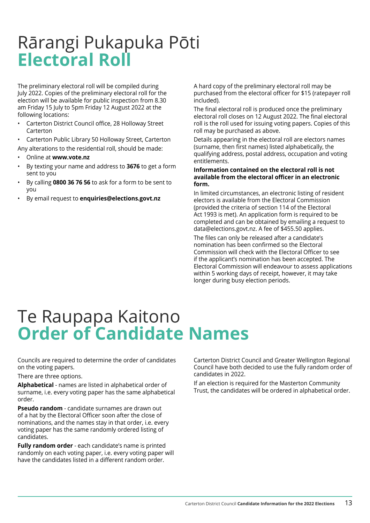## <span id="page-12-0"></span>Rārangi Pukapuka Pōti **Electoral Roll**

The preliminary electoral roll will be compiled during July 2022. Copies of the preliminary electoral roll for the election will be available for public inspection from 8.30 am Friday 15 July to 5pm Friday 12 August 2022 at the following locations:

- Carterton District Council office, 28 Holloway Street Carterton
- Carterton Public Library 50 Holloway Street, Carterton

Any alterations to the residential roll, should be made:

- Online at **www.vote.nz**
- By texting your name and address to **3676** to get a form sent to you
- By calling **0800 36 76 56** to ask for a form to be sent to you
- By email request to **enquiries@elections.govt.nz**

A hard copy of the preliminary electoral roll may be purchased from the electoral officer for \$15 (ratepayer roll included).

The final electoral roll is produced once the preliminary electoral roll closes on 12 August 2022. The final electoral roll is the roll used for issuing voting papers. Copies of this roll may be purchased as above.

Details appearing in the electoral roll are electors names (surname, then first names) listed alphabetically, the qualifying address, postal address, occupation and voting entitlements.

#### **Information contained on the electoral roll is not available from the electoral officer in an electronic form.**

In limited circumstances, an electronic listing of resident electors is available from the Electoral Commission (provided the criteria of section 114 of the Electoral Act 1993 is met). An application form is required to be completed and can be obtained by emailing a request to data@elections.govt.nz. A fee of \$455.50 applies.

The files can only be released after a candidate's nomination has been confirmed so the Electoral Commission will check with the Electoral Officer to see if the applicant's nomination has been accepted. The Electoral Commission will endeavour to assess applications within 5 working days of receipt, however, it may take longer during busy election periods.

## Te Raupapa Kaitono **Order of Candidate Names**

Councils are required to determine the order of candidates on the voting papers.

There are three options.

**Alphabetical** - names are listed in alphabetical order of surname, i.e. every voting paper has the same alphabetical order.

**Pseudo random** - candidate surnames are drawn out of a hat by the Electoral Officer soon after the close of nominations, and the names stay in that order, i.e. every voting paper has the same randomly ordered listing of candidates.

**Fully random order** - each candidate's name is printed randomly on each voting paper, i.e. every voting paper will have the candidates listed in a different random order.

Carterton District Council and Greater Wellington Regional Council have both decided to use the fully random order of candidates in 2022.

If an election is required for the Masterton Community Trust, the candidates will be ordered in alphabetical order.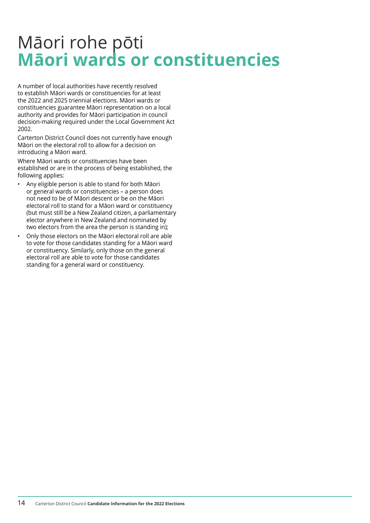## <span id="page-13-0"></span>Māori rohe pōti **Māori wards or constituencies**

A number of local authorities have recently resolved to establish Māori wards or constituencies for at least the 2022 and 2025 triennial elections. Māori wards or constituencies guarantee Māori representation on a local authority and provides for Māori participation in council decision-making required under the Local Government Act 2002.

Carterton District Council does not currently have enough Māori on the electoral roll to allow for a decision on introducing a Māori ward.

Where Māori wards or constituencies have been established or are in the process of being established, the following applies:

- Any eligible person is able to stand for both Māori or general wards or constituencies – a person does not need to be of Māori descent or be on the Māori electoral roll to stand for a Māori ward or constituency (but must still be a New Zealand citizen, a parliamentary elector anywhere in New Zealand and nominated by two electors from the area the person is standing in);
- Only those electors on the Māori electoral roll are able to vote for those candidates standing for a Māori ward or constituency. Similarly, only those on the general electoral roll are able to vote for those candidates standing for a general ward or constituency.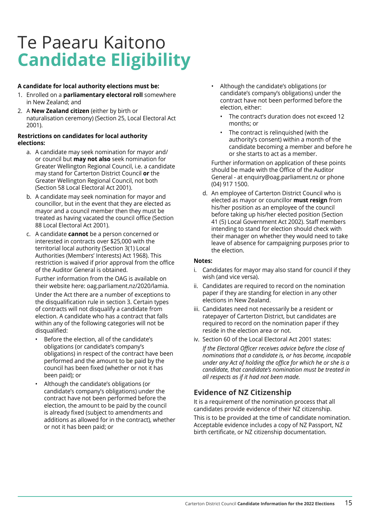# <span id="page-14-0"></span>Te Paearu Kaitono **Candidate Eligibility**

#### **A candidate for local authority elections must be:**

- 1. Enrolled on a **parliamentary electoral roll** somewhere in New Zealand; and
- 2. A **New Zealand citizen** (either by birth or naturalisation ceremony) (Section 25, Local Electoral Act 2001).

#### **Restrictions on candidates for local authority elections:**

- a. A candidate may seek nomination for mayor and/ or council but **may not also** seek nomination for Greater Wellington Regional Council, i.e. a candidate may stand for Carterton District Council **or** the Greater Wellington Regional Council, not both (Section 58 Local Electoral Act 2001).
- b. A candidate may seek nomination for mayor and councillor, but in the event that they are elected as mayor and a council member then they must be treated as having vacated the council office (Section 88 Local Electoral Act 2001).
- c. A candidate **cannot** be a person concerned or interested in contracts over \$25,000 with the territorial local authority (Section 3(1) Local Authorities (Members' Interests) Act 1968). This restriction is waived if prior approval from the office of the Auditor General is obtained.

Further information from the OAG is available on their website here: oag.parliament.nz/2020/lamia.

Under the Act there are a number of exceptions to the disqualification rule in section 3. Certain types of contracts will not disqualify a candidate from election. A candidate who has a contract that falls within any of the following categories will not be disqualified:

- Before the election, all of the candidate's obligations (or candidate's company's obligations) in respect of the contract have been performed and the amount to be paid by the council has been fixed (whether or not it has been paid); or
- Although the candidate's obligations (or candidate's company's obligations) under the contract have not been performed before the election, the amount to be paid by the council is already fixed (subject to amendments and additions as allowed for in the contract), whether or not it has been paid; or
- Although the candidate's obligations (or candidate's company's obligations) under the contract have not been performed before the election, either:
	- The contract's duration does not exceed 12 months; or
	- The contract is relinquished (with the authority's consent) within a month of the candidate becoming a member and before he or she starts to act as a member.

Further information on application of these points should be made with the Office of the Auditor General - at enquiry@oag.parliament.nz or phone (04) 917 1500.

d. An employee of Carterton District Council who is elected as mayor or councillor **must resign** from his/her position as an employee of the council before taking up his/her elected position (Section 41 (5) Local Government Act 2002). Staff members intending to stand for election should check with their manager on whether they would need to take leave of absence for campaigning purposes prior to the election.

#### **Notes:**

- i. Candidates for mayor may also stand for council if they wish (and vice versa).
- ii. Candidates are required to record on the nomination paper if they are standing for election in any other elections in New Zealand.
- iii. Candidates need not necessarily be a resident or ratepayer of Carterton District, but candidates are required to record on the nomination paper if they reside in the election area or not.
- iv. Section 60 of the Local Electoral Act 2001 states:
	- *If the Electoral Officer receives advice before the close of nominations that a candidate is, or has become, incapable under any Act of holding the office for which he or she is a candidate, that candidate's nomination must be treated in all respects as if it had not been made.*

## **Evidence of NZ Citizenship**

It is a requirement of the nomination process that all candidates provide evidence of their NZ citizenship.

This is to be provided at the time of candidate nomination. Acceptable evidence includes a copy of NZ Passport, NZ birth certificate, or NZ citizenship documentation.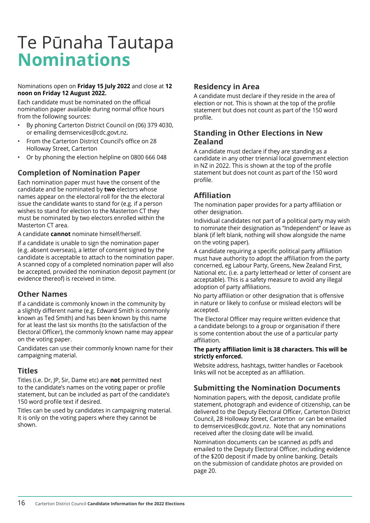## <span id="page-15-0"></span>Te Pūnaha Tautapa **Nominations**

#### Nominations open on **Friday 15 July 2022** and close at **12 noon on Friday 12 August 2022.**

Each candidate must be nominated on the official nomination paper available during normal office hours from the following sources:

- By phoning Carterton District Council on (06) 379 4030, or emailing demservices@cdc.govt.nz.
- From the Carterton District Council's office on 28 Holloway Street, Carterton
- Or by phoning the election helpline on 0800 666 048

## **Completion of Nomination Paper**

Each nomination paper must have the consent of the candidate and be nominated by **two** electors whose names appear on the electoral roll for the the electoral issue the candidate wants to stand for (e.g. if a person wishes to stand for election to the Masterton CT they must be nominated by two electors enrolled within the Masterton CT area.

A candidate **cannot** nominate himself/herself.

If a candidate is unable to sign the nomination paper (e.g. absent overseas), a letter of consent signed by the candidate is acceptable to attach to the nomination paper. A scanned copy of a completed nomination paper will also be accepted, provided the nomination deposit payment (or evidence thereof) is received in time.

## **Other Names**

If a candidate is commonly known in the community by a slightly different name (e.g. Edward Smith is commonly known as Ted Smith) and has been known by this name for at least the last six months (to the satisfaction of the Electoral Officer), the commonly known name may appear on the voting paper.

Candidates can use their commonly known name for their campaigning material.

### **Titles**

Titles (i.e. Dr, JP, Sir, Dame etc) are **not** permitted next to the candidate's names on the voting paper or profile statement, but can be included as part of the candidate's 150 word profile text if desired.

Titles can be used by candidates in campaigning material. It is only on the voting papers where they cannot be shown.

## **Residency in Area**

A candidate must declare if they reside in the area of election or not. This is shown at the top of the profile statement but does not count as part of the 150 word profile.

## **Standing in Other Elections in New Zealand**

A candidate must declare if they are standing as a candidate in any other triennial local government election in NZ in 2022. This is shown at the top of the profile statement but does not count as part of the 150 word profile.

## **Affiliation**

The nomination paper provides for a party affiliation or other designation.

Individual candidates not part of a political party may wish to nominate their designation as "Independent" or leave as blank (if left blank, nothing will show alongside the name on the voting paper).

A candidate requiring a specific political party affiliation must have authority to adopt the affiliation from the party concerned, eg Labour Party, Greens, New Zealand First, National etc. (i.e. a party letterhead or letter of consent are acceptable). This is a safety measure to avoid any illegal adoption of party affiliations.

No party affiliation or other designation that is offensive in nature or likely to confuse or mislead electors will be accepted.

The Electoral Officer may require written evidence that a candidate belongs to a group or organisation if there is some contention about the use of a particular party affiliation.

#### **The party affiliation limit is 38 characters. This will be strictly enforced.**

Website address, hashtags, twitter handles or Facebook links will not be accepted as an affiliation.

## **Submitting the Nomination Documents**

Nomination papers, with the deposit, candidate profile statement, photograph and evidence of citizenship, can be delivered to the Deputy Electoral Officer, Carterton District Council, 28 Holloway Street, Carterton or can be emailed to demservices@cdc.govt.nz. Note that any nominations received after the closing date will be invalid.

Nomination documents can be scanned as pdfs and emailed to the Deputy Electoral Officer, including evidence of the \$200 deposit if made by online banking. Details on the submission of candidate photos are provided on page 20.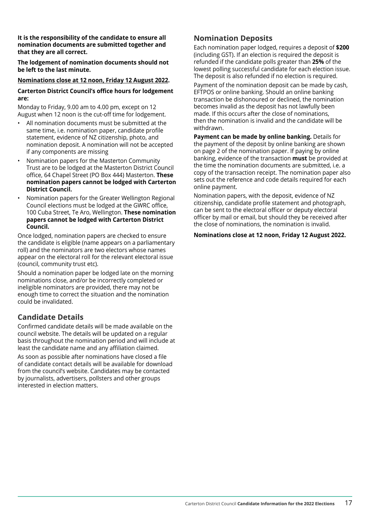**It is the responsibility of the candidate to ensure all nomination documents are submitted together and that they are all correct.**

**The lodgement of nomination documents should not be left to the last minute.**

#### **Nominations close at 12 noon, Friday 12 August 2022.**

#### **Carterton District Council's office hours for lodgement are:**

Monday to Friday, 9.00 am to 4.00 pm, except on 12 August when 12 noon is the cut-off time for lodgement.

- All nomination documents must be submitted at the same time, i.e. nomination paper, candidate profile statement, evidence of NZ citizenship, photo, and nomination deposit. A nomination will not be accepted if any components are missing
- Nomination papers for the Masterton Community Trust are to be lodged at the Masterton District Council office, 64 Chapel Street (PO Box 444) Masterton. **These nomination papers cannot be lodged with Carterton District Council.**
- Nomination papers for the Greater Wellington Regional Council elections must be lodged at the GWRC office, 100 Cuba Street, Te Aro, Wellington. **These nomination papers cannot be lodged with Carterton District Council.**

Once lodged, nomination papers are checked to ensure the candidate is eligible (name appears on a parliamentary roll) and the nominators are two electors whose names appear on the electoral roll for the relevant electoral issue (council, community trust etc).

Should a nomination paper be lodged late on the morning nominations close, and/or be incorrectly completed or ineligible nominators are provided, there may not be enough time to correct the situation and the nomination could be invalidated.

## **Candidate Details**

Confirmed candidate details will be made available on the council website. The details will be updated on a regular basis throughout the nomination period and will include at least the candidate name and any affiliation claimed.

As soon as possible after nominations have closed a file of candidate contact details will be available for download from the council's website. Candidates may be contacted by journalists, advertisers, pollsters and other groups interested in election matters.

### **Nomination Deposits**

Each nomination paper lodged, requires a deposit of **\$200** (including GST). If an election is required the deposit is refunded if the candidate polls greater than **25%** of the lowest polling successful candidate for each election issue. The deposit is also refunded if no election is required.

Payment of the nomination deposit can be made by cash, EFTPOS or online banking. Should an online banking transaction be dishonoured or declined, the nomination becomes invalid as the deposit has not lawfully been made. If this occurs after the close of nominations, then the nomination is invalid and the candidate will be withdrawn.

**Payment can be made by online banking.** Details for the payment of the deposit by online banking are shown on page 2 of the nomination paper. If paying by online banking, evidence of the transaction **must** be provided at the time the nomination documents are submitted, i.e. a copy of the transaction receipt. The nomination paper also sets out the reference and code details required for each online payment.

Nomination papers, with the deposit, evidence of NZ citizenship, candidate profile statement and photograph, can be sent to the electoral officer or deputy electoral officer by mail or email, but should they be received after the close of nominations, the nomination is invalid.

#### **Nominations close at 12 noon, Friday 12 August 2022.**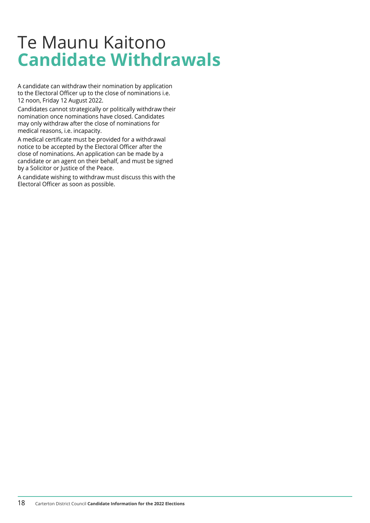## <span id="page-17-0"></span>Te Maunu Kaitono **Candidate Withdrawals**

A candidate can withdraw their nomination by application to the Electoral Officer up to the close of nominations i.e. 12 noon, Friday 12 August 2022.

Candidates cannot strategically or politically withdraw their nomination once nominations have closed. Candidates may only withdraw after the close of nominations for medical reasons, i.e. incapacity.

A medical certificate must be provided for a withdrawal notice to be accepted by the Electoral Officer after the close of nominations. An application can be made by a candidate or an agent on their behalf, and must be signed by a Solicitor or Justice of the Peace.

A candidate wishing to withdraw must discuss this with the Electoral Officer as soon as possible.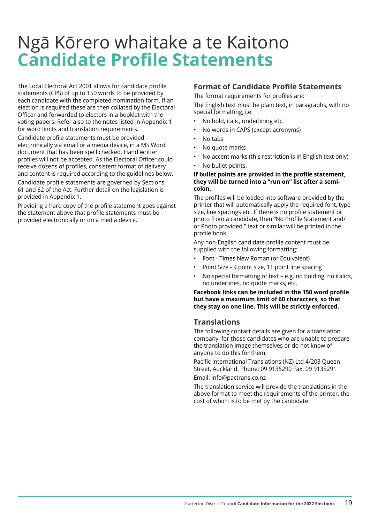## <span id="page-18-0"></span>Ngā Kōrero whaitake a te Kaitono **Candidate Profile Statements**

The Local Electoral Act 2001 allows for candidate profile statements (CPS) of up to 150 words to be provided by each candidate with the completed nomination form. If an election is required these are then collated by the Electoral Officer and forwarded to electors in a booklet with the voting papers. Refer also to the notes listed in Appendix 1 for word limits and translation requirements.

Candidate profile statements must be provided electronically via email or a media device, in a MS Word document that has been spell checked. Hand written profiles will not be accepted. As the Electoral Officer could receive dozens of profiles, consistent format of delivery and content is required according to the guidelines below.

Candidate profile statements are governed by Sections 61 and 62 of the Act. Further detail on the legislation is provided in Appendix 1.

Providing a hard copy of the profile statement goes against the statement above that profile statements must be provided electronically or on a media device.

## **Format of Candidate Profile Statements**

The format requirements for profiles are:

The English text must be plain text, in paragraphs, with no special formatting, i.e.

- No bold, italic, underlining etc.
- No words in CAPS (except acronyms)
- No tabs
- No quote marks
- No accent marks (this restriction is in English text only)
- No bullet points.

#### **If bullet points are provided in the profile statement, they will be turned into a "run on" list after a semicolon.**

The profiles will be loaded into software provided by the printer that will automatically apply the required font, type size, line spacings etc. If there is no profile statement or photo from a candidate, then "No Profile Statement and/ or Photo provided." text or similar will be printed in the profile book.

Any non-English candidate profile content must be supplied with the following formatting:

- Font Times New Roman (or Equivalent)
- Point Size 9 point size, 11 point line spacing
- No special formatting of text e.g. no bolding, no italics, no underlines, no quote marks, etc.

#### **Facebook links can be included in the 150 word profile but have a maximum limit of 60 characters, so that they stay on one line. This will be strictly enforced.**

### **Translations**

The following contact details are given for a translation company, for those candidates who are unable to prepare the translation image themselves or do not know of anyone to do this for them:

Pacific International Translations (NZ) Ltd 4/203 Queen Street, Auckland. Phone: 09 9135290 Fax: 09 9135291 Email: info@pactrans.co.nz

The translation service will provide the translations in the above format to meet the requirements of the printer, the cost of which is to be met by the candidate.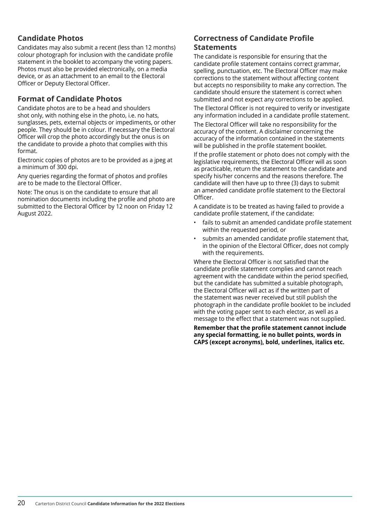## **Candidate Photos**

Candidates may also submit a recent (less than 12 months) colour photograph for inclusion with the candidate profile statement in the booklet to accompany the voting papers. Photos must also be provided electronically, on a media device, or as an attachment to an email to the Electoral Officer or Deputy Electoral Officer.

## **Format of Candidate Photos**

Candidate photos are to be a head and shoulders shot only, with nothing else in the photo, i.e. no hats, sunglasses, pets, external objects or impediments, or other people. They should be in colour. If necessary the Electoral Officer will crop the photo accordingly but the onus is on the candidate to provide a photo that complies with this format.

Electronic copies of photos are to be provided as a jpeg at a minimum of 300 dpi.

Any queries regarding the format of photos and profiles are to be made to the Electoral Officer.

Note: The onus is on the candidate to ensure that all nomination documents including the profile and photo are submitted to the Electoral Officer by 12 noon on Friday 12 August 2022.

### **Correctness of Candidate Profile Statements**

The candidate is responsible for ensuring that the candidate profile statement contains correct grammar, spelling, punctuation, etc. The Electoral Officer may make corrections to the statement without affecting content but accepts no responsibility to make any correction. The candidate should ensure the statement is correct when submitted and not expect any corrections to be applied.

The Electoral Officer is not required to verify or investigate any information included in a candidate profile statement.

The Electoral Officer will take no responsibility for the accuracy of the content. A disclaimer concerning the accuracy of the information contained in the statements will be published in the profile statement booklet.

If the profile statement or photo does not comply with the legislative requirements, the Electoral Officer will as soon as practicable, return the statement to the candidate and specify his/her concerns and the reasons therefore. The candidate will then have up to three (3) days to submit an amended candidate profile statement to the Electoral Officer.

A candidate is to be treated as having failed to provide a candidate profile statement, if the candidate:

- fails to submit an amended candidate profile statement within the requested period, or
- submits an amended candidate profile statement that, in the opinion of the Electoral Officer, does not comply with the requirements.

Where the Electoral Officer is not satisfied that the candidate profile statement complies and cannot reach agreement with the candidate within the period specified, but the candidate has submitted a suitable photograph, the Electoral Officer will act as if the written part of the statement was never received but still publish the photograph in the candidate profile booklet to be included with the voting paper sent to each elector, as well as a message to the effect that a statement was not supplied.

**Remember that the profile statement cannot include any special formatting, ie no bullet points, words in CAPS (except acronyms), bold, underlines, italics etc.**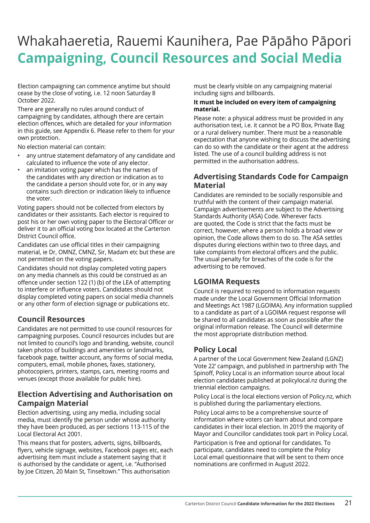## <span id="page-20-0"></span>Whakahaeretia, Rauemi Kaunihera, Pae Pāpāho Pāpori **Campaigning, Council Resources and Social Media**

Election campaigning can commence anytime but should cease by the close of voting, i.e. 12 noon Saturday 8 October 2022.

There are generally no rules around conduct of campaigning by candidates, although there are certain election offences, which are detailed for your information in this guide, see Appendix 6. Please refer to them for your own protection.

No election material can contain:

- any untrue statement defamatory of any candidate and calculated to influence the vote of any elector.
- an imitation voting paper which has the names of the candidates with any direction or indication as to the candidate a person should vote for, or in any way contains such direction or indication likely to influence the voter.

Voting papers should not be collected from electors by candidates or their assistants. Each elector is required to post his or her own voting paper to the Electoral Officer or deliver it to an official voting box located at the Carterton District Council office.

Candidates can use official titles in their campaigning material, ie Dr, OMNZ, CMNZ, Sir, Madam etc but these are not permitted on the voting papers.

Candidates should not display completed voting papers on any media channels as this could be construed as an offence under section 122 (1) (b) of the LEA of attempting to interfere or influence voters. Candidates should not display completed voting papers on social media channels or any other form of election signage or publications etc.

## **Council Resources**

Candidates are not permitted to use council resources for campaigning purposes. Council resources includes but are not limited to council's logo and branding, website, council taken photos of buildings and amenities or landmarks, facebook page, twitter account, any forms of social media, computers, email, mobile phones, faxes, stationery, photocopiers, printers, stamps, cars, meeting rooms and venues (except those available for public hire).

## **Election Advertising and Authorisation on Campaign Material**

Election advertising, using any media, including social media, must identify the person under whose authority they have been produced, as per sections 113-115 of the Local Electoral Act 2001.

This means that for posters, adverts, signs, billboards, flyers, vehicle signage, websites, Facebook pages etc, each advertising item must include a statement saying that it is authorised by the candidate or agent, i.e. "Authorised by Joe Citizen, 20 Main St, Tinseltown." This authorisation

must be clearly visible on any campaigning material including signs and billboards.

#### **It must be included on every item of campaigning material.**

Please note: a physical address must be provided in any authorisation text, i.e. it cannot be a PO Box, Private Bag or a rural delivery number. There must be a reasonable expectation that anyone wishing to discuss the advertising can do so with the candidate or their agent at the address listed. The use of a council building address is not permitted in the authorisation address.

## **Advertising Standards Code for Campaign Material**

Candidates are reminded to be socially responsible and truthful with the content of their campaign material. Campaign advertisements are subject to the Advertising Standards Authority (ASA) Code. Wherever facts are quoted, the Code is strict that the facts must be correct, however, where a person holds a broad view or opinion, the Code allows them to do so. The ASA settles disputes during elections within two to three days, and take complaints from electoral officers and the public. The usual penalty for breaches of the code is for the advertising to be removed.

## **LGOIMA Requests**

Council is required to respond to information requests made under the Local Government Official Information and Meetings Act 1987 (LGOIMA). Any information supplied to a candidate as part of a LGOIMA request response will be shared to all candidates as soon as possible after the original information release. The Council will determine the most appropriate distribution method.

## **Policy Local**

A partner of the Local Government New Zealand (LGNZ) 'Vote 22' campaign, and published in partnership with The Spinoff, Policy Local is an information source about local election candidates published at policylocal.nz during the triennial election campaigns.

Policy Local is the local elections version of Policy.nz, which is published during the parliamentary elections.

Policy Local aims to be a comprehensive source of information where voters can learn about and compare candidates in their local election. In 2019 the majority of Mayor and Councillor candidates took part in Policy Local.

Participation is free and optional for candidates. To participate, candidates need to complete the Policy Local email questionnaire that will be sent to them once nominations are confirmed in August 2022.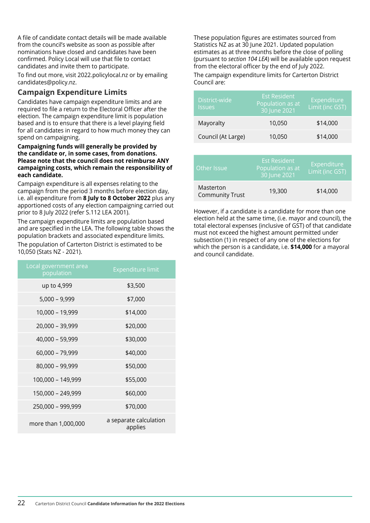A file of candidate contact details will be made available from the council's website as soon as possible after nominations have closed and candidates have been confirmed. Policy Local will use that file to contact candidates and invite them to participate.

To find out more, visit 2022.policylocal.nz or by emailing candidates@policy.nz.

## **Campaign Expenditure Limits**

Candidates have campaign expenditure limits and are required to file a return to the Electoral Officer after the election. The campaign expenditure limit is population based and is to ensure that there is a level playing field for all candidates in regard to how much money they can spend on campaigning.

#### **Campaigning funds will generally be provided by the candidate or, in some cases, from donations. Please note that the council does not reimburse ANY campaigning costs, which remain the responsibility of each candidate.**

Campaign expenditure is all expenses relating to the campaign from the period 3 months before election day, i.e. all expenditure from **8 July to 8 October 2022** plus any apportioned costs of any election campaigning carried out prior to 8 July 2022 (refer S.112 LEA 2001).

The campaign expenditure limits are population based and are specified in the LEA. The following table shows the population brackets and associated expenditure limits.

The population of Carterton District is estimated to be 10,050 (Stats NZ - 2021).

| Local government area<br>population | <b>Expenditure limit</b>          |
|-------------------------------------|-----------------------------------|
| up to 4,999                         | \$3,500                           |
| $5,000 - 9,999$                     | \$7,000                           |
| 10,000 - 19,999                     | \$14,000                          |
| 20,000 - 39,999                     | \$20,000                          |
| 40,000 - 59,999                     | \$30,000                          |
| 60,000 - 79,999                     | \$40,000                          |
| 80,000 - 99,999                     | \$50,000                          |
| 100,000 - 149,999                   | \$55,000                          |
| 150,000 - 249,999                   | \$60,000                          |
| 250,000 - 999,999                   | \$70,000                          |
| more than 1,000,000                 | a separate calculation<br>applies |

These population figures are estimates sourced from Statistics NZ as at 30 June 2021. Updated population estimates as at three months before the close of polling (pursuant to *section 104 LEA*) will be available upon request from the electoral officer by the end of July 2022. The campaign expenditure limits for Carterton District

Council are: District-wide Issues Est Resident Population as at 30 June 2021 **Expenditure** Limit (inc GST) Mayoralty 10,050 \$14,000 Council (At Large) 10,050 \$14,000

| Other Issue                         | <b>Est Resident</b><br>Population as at<br>30 June 2021 | Expenditure<br>Limit (inc GST) |
|-------------------------------------|---------------------------------------------------------|--------------------------------|
| Masterton<br><b>Community Trust</b> | 19,300                                                  | \$14,000                       |

However, if a candidate is a candidate for more than one election held at the same time, (i.e. mayor and council), the total electoral expenses (inclusive of GST) of that candidate must not exceed the highest amount permitted under subsection (1) in respect of any one of the elections for which the person is a candidate, i.e. **\$14,000** for a mayoral and council candidate.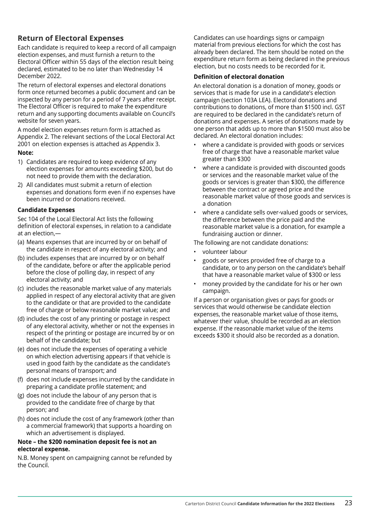## **Return of Electoral Expenses**

Each candidate is required to keep a record of all campaign election expenses, and must furnish a return to the Electoral Officer within 55 days of the election result being declared, estimated to be no later than Wednesday 14 December 2022.

The return of electoral expenses and electoral donations form once returned becomes a public document and can be inspected by any person for a period of 7 years after receipt. The Electoral Officer is required to make the expenditure return and any supporting documents available on Council's website for seven years.

A model election expenses return form is attached as Appendix 2. The relevant sections of the Local Electoral Act 2001 on election expenses is attached as Appendix 3.

#### **Note:**

- 1) Candidates are required to keep evidence of any election expenses for amounts exceeding \$200, but do not need to provide them with the declaration.
- 2) All candidates must submit a return of election expenses and donations form even if no expenses have been incurred or donations received.

#### **Candidate Expenses**

Sec 104 of the Local Electoral Act lists the following definition of electoral expenses, in relation to a candidate at an election,—

- (a) Means expenses that are incurred by or on behalf of the candidate in respect of any electoral activity; and
- (b) includes expenses that are incurred by or on behalf of the candidate, before or after the applicable period before the close of polling day, in respect of any electoral activity; and
- (c) includes the reasonable market value of any materials applied in respect of any electoral activity that are given to the candidate or that are provided to the candidate free of charge or below reasonable market value; and
- (d) includes the cost of any printing or postage in respect of any electoral activity, whether or not the expenses in respect of the printing or postage are incurred by or on behalf of the candidate; but
- (e) does not include the expenses of operating a vehicle on which election advertising appears if that vehicle is used in good faith by the candidate as the candidate's personal means of transport; and
- (f) does not include expenses incurred by the candidate in preparing a candidate profile statement; and
- (g) does not include the labour of any person that is provided to the candidate free of charge by that person; and
- (h) does not include the cost of any framework (other than a commercial framework) that supports a hoarding on which an advertisement is displayed.

#### **Note – the \$200 nomination deposit fee is not an electoral expense.**

N.B. Money spent on campaigning cannot be refunded by the Council.

Candidates can use hoardings signs or campaign material from previous elections for which the cost has already been declared. The item should be noted on the expenditure return form as being declared in the previous election, but no costs needs to be recorded for it.

#### **Definition of electoral donation**

An electoral donation is a donation of money, goods or services that is made for use in a candidate's election campaign (section 103A LEA). Electoral donations and contributions to donations, of more than \$1500 incl. GST are required to be declared in the candidate's return of donations and expenses. A series of donations made by one person that adds up to more than \$1500 must also be declared. An electoral donation includes:

- where a candidate is provided with goods or services free of charge that have a reasonable market value greater than \$300
- where a candidate is provided with discounted goods or services and the reasonable market value of the goods or services is greater than \$300, the difference between the contract or agreed price and the reasonable market value of those goods and services is a donation
- where a candidate sells over-valued goods or services, the difference between the price paid and the reasonable market value is a donation, for example a fundraising auction or dinner.

The following are not candidate donations:

- volunteer labour
- goods or services provided free of charge to a candidate, or to any person on the candidate's behalf that have a reasonable market value of \$300 or less
- money provided by the candidate for his or her own campaign.

If a person or organisation gives or pays for goods or services that would otherwise be candidate election expenses, the reasonable market value of those items, whatever their value, should be recorded as an election expense. If the reasonable market value of the items exceeds \$300 it should also be recorded as a donation.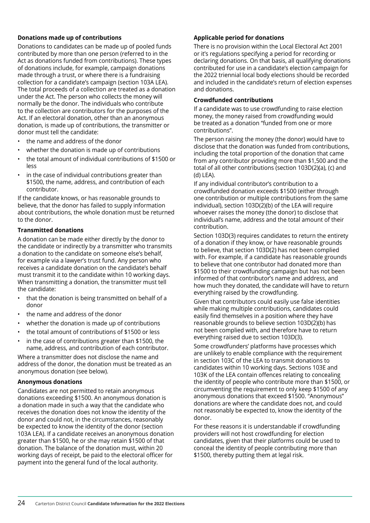#### **Donations made up of contributions**

Donations to candidates can be made up of pooled funds contributed by more than one person (referred to in the Act as donations funded from contributions). These types of donations include, for example, campaign donations made through a trust, or where there is a fundraising collection for a candidate's campaign (section 103A LEA). The total proceeds of a collection are treated as a donation under the Act. The person who collects the money will normally be the donor. The individuals who contribute to the collection are contributors for the purposes of the Act. If an electoral donation, other than an anonymous donation, is made up of contributions, the transmitter or donor must tell the candidate:

- the name and address of the donor
- whether the donation is made up of contributions
- the total amount of individual contributions of \$1500 or less
- in the case of individual contributions greater than \$1500, the name, address, and contribution of each contributor.

If the candidate knows, or has reasonable grounds to believe, that the donor has failed to supply information about contributions, the whole donation must be returned to the donor.

#### **Transmitted donations**

A donation can be made either directly by the donor to the candidate or indirectly by a transmitter who transmits a donation to the candidate on someone else's behalf, for example via a lawyer's trust fund. Any person who receives a candidate donation on the candidate's behalf must transmit it to the candidate within 10 working days. When transmitting a donation, the transmitter must tell the candidate:

- that the donation is being transmitted on behalf of a donor
- the name and address of the donor
- whether the donation is made up of contributions
- the total amount of contributions of \$1500 or less
- in the case of contributions greater than \$1500, the name, address, and contribution of each contributor.

Where a transmitter does not disclose the name and address of the donor, the donation must be treated as an anonymous donation (see below).

#### **Anonymous donations**

Candidates are not permitted to retain anonymous donations exceeding \$1500. An anonymous donation is a donation made in such a way that the candidate who receives the donation does not know the identity of the donor and could not, in the circumstances, reasonably be expected to know the identity of the donor (section 103A LEA). If a candidate receives an anonymous donation greater than \$1500, he or she may retain \$1500 of that donation. The balance of the donation must, within 20 working days of receipt, be paid to the electoral officer for payment into the general fund of the local authority.

#### **Applicable period for donations**

There is no provision within the Local Electoral Act 2001 or it's regulations specifying a period for recording or declaring donations. On that basis, all qualifying donations contributed for use in a candidate's election campaign for the 2022 triennial local body elections should be recorded and included in the candidate's return of election expenses and donations.

#### **Crowdfunded contributions**

If a candidate was to use crowdfunding to raise election money, the money raised from crowdfunding would be treated as a donation "funded from one or more contributions".

The person raising the money (the donor) would have to disclose that the donation was funded from contributions, including the total proportion of the donation that came from any contributor providing more than \$1,500 and the total of all other contributions (section 103D(2)(a), (c) and  $(d)$  LEA).

If any individual contributor's contribution to a crowdfunded donation exceeds \$1500 (either through one contribution or multiple contributions from the same individual), section 103D(2)(b) of the LEA will require whoever raises the money (the donor) to disclose that individual's name, address and the total amount of their contribution.

Section 103D(3) requires candidates to return the entirety of a donation if they know, or have reasonable grounds to believe, that section 103D(2) has not been complied with. For example, if a candidate has reasonable grounds to believe that one contributor had donated more than \$1500 to their crowdfunding campaign but has not been informed of that contributor's name and address, and how much they donated, the candidate will have to return everything raised by the crowdfunding.

Given that contributors could easily use false identities while making multiple contributions, candidates could easily find themselves in a position where they have reasonable grounds to believe section 103D(2)(b) has not been complied with, and therefore have to return everything raised due to section 103D(3).

Some crowdfunders' platforms have processes which are unlikely to enable compliance with the requirement in section 103C of the LEA to transmit donations to candidates within 10 working days. Sections 103E and 103K of the LEA contain offences relating to concealing the identity of people who contribute more than \$1500, or circumventing the requirement to only keep \$1500 of any anonymous donations that exceed \$1500. "Anonymous" donations are where the candidate does not, and could not reasonably be expected to, know the identity of the donor.

For these reasons it is understandable if crowdfunding providers will not host crowdfunding for election candidates, given that their platforms could be used to conceal the identity of people contributing more than \$1500, thereby putting them at legal risk.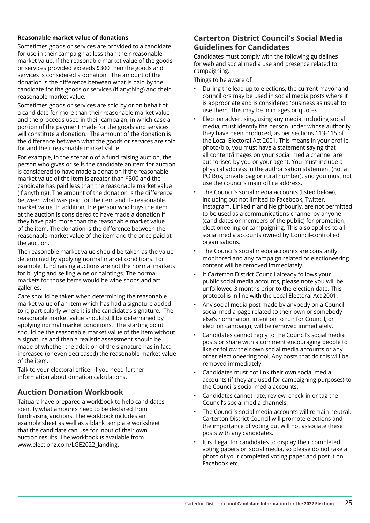#### **Reasonable market value of donations**

Sometimes goods or services are provided to a candidate for use in their campaign at less than their reasonable market value. If the reasonable market value of the goods or services provided exceeds \$300 then the goods and services is considered a donation. The amount of the donation is the difference between what is paid by the candidate for the goods or services (if anything) and their reasonable market value.   

Sometimes goods or services are sold by or on behalf of a candidate for more than their reasonable market value and the proceeds used in their campaign, in which case a portion of the payment made for the goods and services will constitute a donation. The amount of the donation is the difference between what the goods or services are sold for and their reasonable market value.

For example, in the scenario of a fund raising auction, the person who gives or sells the candidate an item for auction is considered to have made a donation if the reasonable market value of the item is greater than \$300 and the candidate has paid less than the reasonable market value (if anything). The amount of the donation is the difference between what was paid for the item and its reasonable market value. In addition, the person who buys the item at the auction is considered to have made a donation if they have paid more than the reasonable market value of the item. The donation is the difference between the reasonable market value of the item and the price paid at the auction.

The reasonable market value should be taken as the value determined by applying normal market conditions. For example, fund raising auctions are not the normal markets for buying and selling wine or paintings. The normal markets for those items would be wine shops and art galleries.

Care should be taken when determining the reasonable market value of an item which has had a signature added to it, particularly where it is the candidate's signature. The reasonable market value should still be determined by applying normal market conditions. The starting point should be the reasonable market value of the item without a signature and then a realistic assessment should be made of whether the addition of the signature has in fact increased (or even decreased) the reasonable market value of the item.  

Talk to your electoral officer if you need further information about donation calculations.

## **Auction Donation Workbook**

Taituarā have prepared a workbook to help candidates identify what amounts need to be declared from fundraising auctions. The workbook includes an example sheet as well as a blank template worksheet that the candidate can use for input of their own auction results. The workbook is available from www.electionz.com/LGE2022\_landing.

### **Carterton District Council's Social Media Guidelines for Candidates**

Candidates must comply with the following guidelines for web and social media use and presence related to campaigning.

Things to be aware of:

- During the lead up to elections, the current mayor and councillors may be used in social media posts where it is appropriate and is considered 'business as usual' to use them. This may be in images or quotes.
- Election advertising, using any media, including social media, must identify the person under whose authority they have been produced, as per sections 113-115 of the Local Electoral Act 2001. This means in your profile photo/bio, you must have a statement saying that all content/images on your social media channel are authorised by you or your agent. You must include a physical address in the authorisation statement (not a PO Box, private bag or rural number), and you must not use the council's main office address.
- The Council's social media accounts (listed below). including but not limited to Facebook, Twitter, Instagram, LinkedIn and Neighbourly, are not permitted to be used as a communications channel by anyone (candidates or members of the public) for promotion, electioneering or campaigning. This also applies to all social media accounts owned by Council-controlled organisations.
- The Council's social media accounts are constantly monitored and any campaign related or electioneering content will be removed immediately.
- If Carterton District Council already follows your public social media accounts, please note you will be unfollowed 3 months prior to the election date. This protocol is in line with the Local Electoral Act 2001.
- Any social media post made by anybody on a Council social media page related to their own or somebody else's nomination, intention to run for Council, or election campaign, will be removed immediately.
- Candidates cannot reply to the Council's social media posts or share with a comment encouraging people to like or follow their own social media accounts or any other electioneering tool. Any posts that do this will be removed immediately.
- Candidates must not link their own social media accounts (if they are used for campaigning purposes) to the Council's social media accounts.
- Candidates cannot rate, review, check-in or tag the Council's social media channels.
- The Council's social media accounts will remain neutral. Carterton District Council will promote elections and the importance of voting but will not associate these posts with any candidates.
- It is illegal for candidates to display their completed voting papers on social media, so please do not take a photo of your completed voting paper and post it on Facebook etc.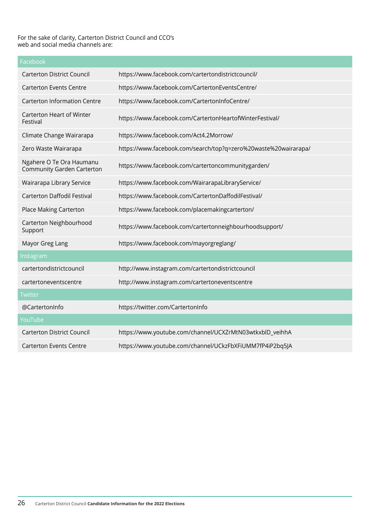#### For the sake of clarity, Carterton District Council and CCO's web and social media channels are:

| Facebook                                                      |                                                                 |
|---------------------------------------------------------------|-----------------------------------------------------------------|
| <b>Carterton District Council</b>                             | https://www.facebook.com/cartertondistrictcouncil/              |
| <b>Carterton Events Centre</b>                                | https://www.facebook.com/CartertonEventsCentre/                 |
| <b>Carterton Information Centre</b>                           | https://www.facebook.com/CartertonInfoCentre/                   |
| Carterton Heart of Winter<br>Festival                         | https://www.facebook.com/CartertonHeartofWinterFestival/        |
| Climate Change Wairarapa                                      | https://www.facebook.com/Act4.2Morrow/                          |
| Zero Waste Wairarapa                                          | https://www.facebook.com/search/top?q=zero%20waste%20wairarapa/ |
| Ngahere O Te Ora Haumanu<br><b>Community Garden Carterton</b> | https://www.facebook.com/cartertoncommunitygarden/              |
| Wairarapa Library Service                                     | https://www.facebook.com/WairarapaLibraryService/               |
| <b>Carterton Daffodil Festival</b>                            | https://www.facebook.com/CartertonDaffodilFestival/             |
| Place Making Carterton                                        | https://www.facebook.com/placemakingcarterton/                  |
| Carterton Neighbourhood<br>Support                            | https://www.facebook.com/cartertonneighbourhoodsupport/         |
| Mayor Greg Lang                                               | https://www.facebook.com/mayorgreglang/                         |
| Instagram                                                     |                                                                 |
| cartertondistrictcouncil                                      | http://www.instagram.com/cartertondistrictcouncil               |
| cartertoneventscentre                                         | http://www.instagram.com/cartertoneventscentre                  |
| <b>Twitter</b>                                                |                                                                 |
| @CartertonInfo                                                | https://twitter.com/CartertonInfo                               |
| YouTube                                                       |                                                                 |
| <b>Carterton District Council</b>                             | https://www.youtube.com/channel/UCXZrMtN03wtkxblD_veihhA        |
| <b>Carterton Events Centre</b>                                | https://www.youtube.com/channel/UCkzFbXFiUMM7fP4iP2bq5JA        |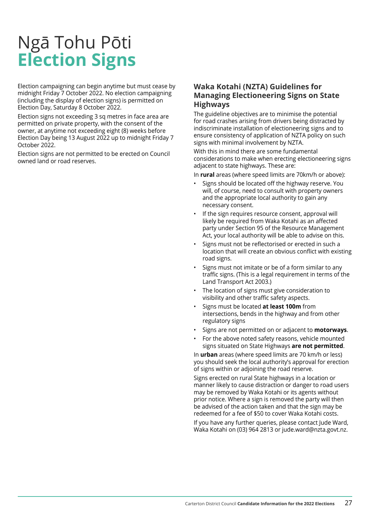# <span id="page-26-0"></span>Ngā Tohu Pōti **Election Signs**

Election campaigning can begin anytime but must cease by midnight Friday 7 October 2022. No election campaigning (including the display of election signs) is permitted on Election Day, Saturday 8 October 2022.

Election signs not exceeding 3 sq metres in face area are permitted on private property, with the consent of the owner, at anytime not exceeding eight (8) weeks before Election Day being 13 August 2022 up to midnight Friday 7 October 2022.

Election signs are not permitted to be erected on Council owned land or road reserves.

### **Waka Kotahi (NZTA) Guidelines for Managing Electioneering Signs on State Highways**

The guideline objectives are to minimise the potential for road crashes arising from drivers being distracted by indiscriminate installation of electioneering signs and to ensure consistency of application of NZTA policy on such signs with minimal involvement by NZTA.

With this in mind there are some fundamental considerations to make when erecting electioneering signs adjacent to state highways. These are:

In **rural** areas (where speed limits are 70km/h or above):

- Signs should be located off the highway reserve. You will, of course, need to consult with property owners and the appropriate local authority to gain any necessary consent.
- If the sign requires resource consent, approval will likely be required from Waka Kotahi as an affected party under Section 95 of the Resource Management Act, your local authority will be able to advise on this.
- Signs must not be reflectorised or erected in such a location that will create an obvious conflict with existing road signs.
- Signs must not imitate or be of a form similar to any traffic signs. (This is a legal requirement in terms of the Land Transport Act 2003.)
- The location of signs must give consideration to visibility and other traffic safety aspects.
- Signs must be located **at least 100m** from intersections, bends in the highway and from other regulatory signs
- Signs are not permitted on or adjacent to **motorways**.
- For the above noted safety reasons, vehicle mounted signs situated on State Highways **are not permitted**.

In **urban** areas (where speed limits are 70 km/h or less) you should seek the local authority's approval for erection of signs within or adjoining the road reserve.

Signs erected on rural State highways in a location or manner likely to cause distraction or danger to road users may be removed by Waka Kotahi or its agents without prior notice. Where a sign is removed the party will then be advised of the action taken and that the sign may be redeemed for a fee of \$50 to cover Waka Kotahi costs.

If you have any further queries, please contact Jude Ward, Waka Kotahi on (03) 964 2813 or jude.ward@nzta.govt.nz.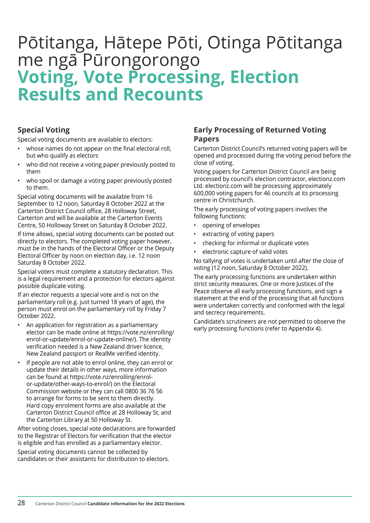## <span id="page-27-0"></span>Pōtitanga, Hātepe Pōti, Otinga Pōtitanga me ngā Pūrongorongo **Voting, Vote Processing, Election Results and Recounts**

## **Special Voting**

Special voting documents are available to electors:

- whose names do not appear on the final electoral roll. but who qualify as electors
- who did not receive a voting paper previously posted to them
- who spoil or damage a voting paper previously posted to them.

Special voting documents will be available from 16 September to 12 noon, Saturday 8 October 2022 at the Carterton District Council office, 28 Holloway Street, Carterton and will be available at the Carterton Events Centre, 50 Holloway Street on Saturday 8 October 2022.

If time allows, special voting documents can be posted out directly to electors. The completed voting paper however, must be in the hands of the Electoral Officer or the Deputy Electoral Officer by noon on election day, i.e. 12 noon Saturday 8 October 2022.

Special voters must complete a statutory declaration. This is a legal requirement and a protection for electors against possible duplicate voting.

If an elector requests a special vote and is not on the parliamentary roll (e.g. just turned 18 years of age), the person must enrol on the parliamentary roll by Friday 7 October 2022.

- An application for registration as a parliamentary elector can be made online at https://vote.nz/enrolling/ enrol-or-update/enrol-or-update-online/). The identity verification needed is a New Zealand driver licence, New Zealand passport or RealMe verified identity.
- If people are not able to enrol online, they can enrol or update their details in other ways, more information can be found at https://vote.nz/enrolling/enrolor-update/other-ways-to-enrol/) on the Electoral Commission website or they can call 0800 36 76 56 to arrange for forms to be sent to them directly. Hard copy enrolment forms are also available at the Carterton District Council office at 28 Holloway St, and the Carterton Library at 50 Holloway St.

After voting closes, special vote declarations are forwarded to the Registrar of Electors for verification that the elector is eligible and has enrolled as a parliamentary elector.

Special voting documents cannot be collected by candidates or their assistants for distribution to electors.

### **Early Processing of Returned Voting Papers**

Carterton District Council's returned voting papers will be opened and processed during the voting period before the close of voting.

Voting papers for Carterton District Council are being processed by council's election contractor, electionz.com Ltd. electionz.com will be processing approximately 600,000 voting papers for 46 councils at its processing centre in Christchurch.

The early processing of voting papers involves the following functions:

- opening of envelopes
- extracting of voting papers
- checking for informal or duplicate votes
- electronic capture of valid votes

No tallying of votes is undertaken until after the close of voting (12 noon, Saturday 8 October 2022).

The early processing functions are undertaken within strict security measures. One or more lustices of the Peace observe all early processing functions, and sign a statement at the end of the processing that all functions were undertaken correctly and conformed with the legal and secrecy requirements.

Candidate's scrutineers are not permitted to observe the early processing functions (refer to Appendix 4).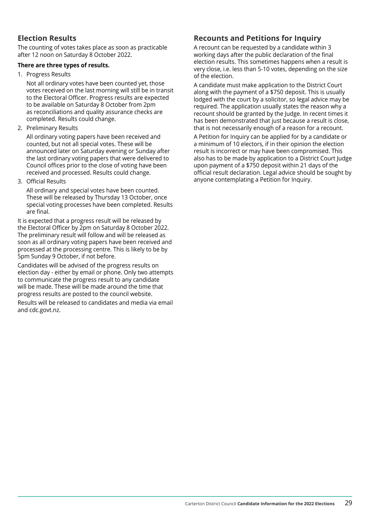## **Election Results**

The counting of votes takes place as soon as practicable after 12 noon on Saturday 8 October 2022.

#### **There are three types of results.**

1. Progress Results

Not all ordinary votes have been counted yet, those votes received on the last morning will still be in transit to the Electoral Officer. Progress results are expected to be available on Saturday 8 October from 2pm as reconciliations and quality assurance checks are completed. Results could change.

2. Preliminary Results

All ordinary voting papers have been received and counted, but not all special votes. These will be announced later on Saturday evening or Sunday after the last ordinary voting papers that were delivered to Council offices prior to the close of voting have been received and processed. Results could change.

3. Official Results

All ordinary and special votes have been counted. These will be released by Thursday 13 October, once special voting processes have been completed. Results are final.

It is expected that a progress result will be released by the Electoral Officer by 2pm on Saturday 8 October 2022. The preliminary result will follow and will be released as soon as all ordinary voting papers have been received and processed at the processing centre. This is likely to be by 5pm Sunday 9 October, if not before.

Candidates will be advised of the progress results on election day - either by email or phone. Only two attempts to communicate the progress result to any candidate will be made. These will be made around the time that progress results are posted to the council website.

Results will be released to candidates and media via email and cdc.govt.nz.

## **Recounts and Petitions for Inquiry**

A recount can be requested by a candidate within 3 working days after the public declaration of the final election results. This sometimes happens when a result is very close, i.e. less than 5-10 votes, depending on the size of the election.

A candidate must make application to the District Court along with the payment of a \$750 deposit. This is usually lodged with the court by a solicitor, so legal advice may be required. The application usually states the reason why a recount should be granted by the Judge. In recent times it has been demonstrated that just because a result is close, that is not necessarily enough of a reason for a recount.

A Petition for Inquiry can be applied for by a candidate or a minimum of 10 electors, if in their opinion the election result is incorrect or may have been compromised. This also has to be made by application to a District Court Judge upon payment of a \$750 deposit within 21 days of the official result declaration. Legal advice should be sought by anyone contemplating a Petition for Inquiry.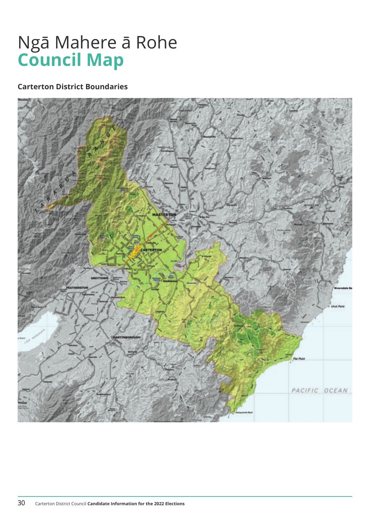## <span id="page-29-0"></span>Ngā Mahere ā Rohe **Council Map**

## **Carterton District Boundaries**

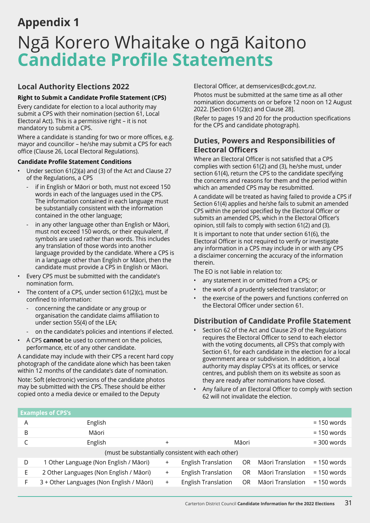## <span id="page-30-0"></span>**Appendix 1**

## Ngā Korero Whaitake o ngā Kaitono **Candidate Profile Statements**

## **Local Authority Elections 2022**

## **Right to Submit a Candidate Profile Statement (CPS)**

Every candidate for election to a local authority may submit a CPS with their nomination (section 61, Local Electoral Act). This is a permissive right – it is not mandatory to submit a CPS.

Where a candidate is standing for two or more offices, e.g. mayor and councillor – he/she may submit a CPS for each office (Clause 26, Local Electoral Regulations).

### **Candidate Profile Statement Conditions**

- Under section 61(2)(a) and (3) of the Act and Clause 27 of the Regulations, a CPS
	- if in English or Māori or both, must not exceed 150 words in each of the languages used in the CPS. The information contained in each language must be substantially consistent with the information contained in the other language;
	- in any other language other than English or Māori, must not exceed 150 words, or their equivalent, if symbols are used rather than words. This includes any translation of those words into another language provided by the candidate. Where a CPS is in a language other than English or Māori, then the candidate must provide a CPS in English or Māori.
- Every CPS must be submitted with the candidate's nomination form.
- The content of a CPS, under section  $61(2)(c)$ , must be confined to information:
	- concerning the candidate or any group or organisation the candidate claims affiliation to under section 55(4) of the LEA;
	- on the candidate's policies and intentions if elected.
- A CPS **cannot** be used to comment on the policies, performance, etc of any other candidate.

A candidate may include with their CPS a recent hard copy photograph of the candidate alone which has been taken within 12 months of the candidate's date of nomination.

Note: Soft (electronic) versions of the candidate photos may be submitted with the CPS. These should be either copied onto a media device or emailed to the Deputy

Electoral Officer, at demservices@cdc.govt.nz.

Photos must be submitted at the same time as all other nomination documents on or before 12 noon on 12 August 2022. [Section 61(2)(c) and Clause 28].

(Refer to pages 19 and 20 for the production specifications for the CPS and candidate photograph).

## **Duties, Powers and Responsibilities of Electoral Officers**

Where an Electoral Officer is not satisfied that a CPS complies with section 61(2) and (3), he/she must, under section 61(4), return the CPS to the candidate specifying the concerns and reasons for them and the period within which an amended CPS may be resubmitted.

A candidate will be treated as having failed to provide a CPS if Section 61(4) applies and he/she fails to submit an amended CPS within the period specified by the Electoral Officer or submits an amended CPS, which in the Electoral Officer's opinion, still fails to comply with section 61(2) and (3).

It is important to note that under section 61(6), the Electoral Officer is not required to verify or investigate any information in a CPS may include in or with any CPS a disclaimer concerning the accuracy of the information therein.

The EO is not liable in relation to:

- any statement in or omitted from a CPS; or
- the work of a prudently selected translator; or
- the exercise of the powers and functions conferred on the Electoral Officer under section 61.

## **Distribution of Candidate Profile Statement**

- Section 62 of the Act and Clause 29 of the Regulations requires the Electoral Officer to send to each elector with the voting documents, all CPS's that comply with Section 61, for each candidate in the election for a local government area or subdivision. In addition, a local authority may display CPS's at its offices, or service centres, and publish them on its website as soon as they are ready after nominations have closed.
- Any failure of an Electoral Officer to comply with section 62 will not invalidate the election.

|    | <b>Examples of CPS's</b>                  |           |                                                    |       |                   |               |
|----|-------------------------------------------|-----------|----------------------------------------------------|-------|-------------------|---------------|
| A  | English                                   |           |                                                    |       |                   | $= 150$ words |
| B  | Māori                                     |           |                                                    |       |                   | $= 150$ words |
|    | English                                   | $\ddot{}$ |                                                    | Māori |                   | $=$ 300 words |
|    |                                           |           | (must be substantially consistent with each other) |       |                   |               |
| D  | 1 Other Language (Non English / Māori)    | $\ddot{}$ | <b>English Translation</b>                         | OR.   | Māori Translation | $= 150$ words |
| F  | 2 Other Languages (Non English / Māori)   | $^{+}$    | <b>English Translation</b>                         | OR.   | Māori Translation | $= 150$ words |
| F. | 3 + Other Languages (Non English / Māori) | $+$       | <b>English Translation</b>                         | OR.   | Māori Translation | $= 150$ words |
|    |                                           |           |                                                    |       |                   |               |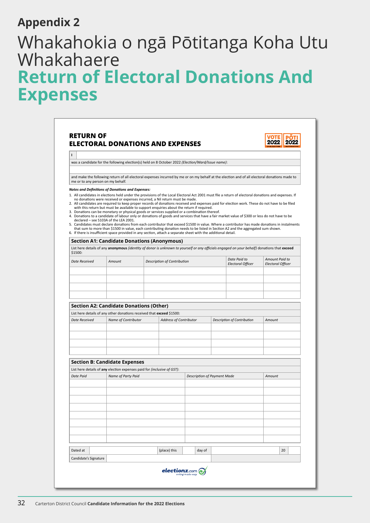## <span id="page-31-0"></span>**Appendix 2**

## Whakahokia o ngā Pōtitanga Koha Utu Whakahaere **Return of Electoral Donations And Expenses**

|                                   | was a candidate for the following election(s) held on 8 October 2022 (Election/Ward/Issue name):                                                                                                                                                                                                                                                                                                                                                                                                |                               |        |                                                                                                                                                                                                                                                                                                                                                                                                                                                                                                                                                                                                                                                                                                                                              |                          |
|-----------------------------------|-------------------------------------------------------------------------------------------------------------------------------------------------------------------------------------------------------------------------------------------------------------------------------------------------------------------------------------------------------------------------------------------------------------------------------------------------------------------------------------------------|-------------------------------|--------|----------------------------------------------------------------------------------------------------------------------------------------------------------------------------------------------------------------------------------------------------------------------------------------------------------------------------------------------------------------------------------------------------------------------------------------------------------------------------------------------------------------------------------------------------------------------------------------------------------------------------------------------------------------------------------------------------------------------------------------------|--------------------------|
| me or to any person on my behalf. |                                                                                                                                                                                                                                                                                                                                                                                                                                                                                                 |                               |        | and make the following return of all electoral expenses incurred by me or on my behalf at the election and of all electoral donations made to                                                                                                                                                                                                                                                                                                                                                                                                                                                                                                                                                                                                |                          |
|                                   | <b>Notes and Definitions of Donations and Expenses:</b><br>no donations were received or expenses incurred, a Nil return must be made.<br>with this return but must be available to support enquiries about the return if required.<br>3. Donations can be monetary or physical goods or services supplied or a combination thereof.<br>declared - see S103A of the LEA 2001.<br>6. If there is insufficient space provided in any section, attach a separate sheet with the additional detail. |                               |        | 1. All candidates in elections held under the provisions of the Local Electoral Act 2001 must file a return of electoral donations and expenses. If<br>2. All candidates are required to keep proper records of donations received and expenses paid for election work. These do not have to be filed<br>4. Donations to a candidate of labour only or donations of goods and services that have a fair market value of \$300 or less do not have to be<br>5. Candidates must declare donations from each contributor that exceed \$1500 in value. Where a contributor has made donations in instalments<br>that sum to more than \$1500 in value, each contributing donation needs to be listed in Section A2 and the aggregated sum shown. |                          |
|                                   | <b>Section A1: Candidate Donations (Anonymous)</b>                                                                                                                                                                                                                                                                                                                                                                                                                                              |                               |        | List here details of any anonymous (identity of donor is unknown to yourself or any officials engaged on your behalf) donations that exceed                                                                                                                                                                                                                                                                                                                                                                                                                                                                                                                                                                                                  |                          |
| \$1500:<br>Date Received          | Amount                                                                                                                                                                                                                                                                                                                                                                                                                                                                                          | Description of Contribution   |        | Date Paid to                                                                                                                                                                                                                                                                                                                                                                                                                                                                                                                                                                                                                                                                                                                                 | Amount Paid to           |
|                                   |                                                                                                                                                                                                                                                                                                                                                                                                                                                                                                 |                               |        | Electoral Officer                                                                                                                                                                                                                                                                                                                                                                                                                                                                                                                                                                                                                                                                                                                            | <b>Electoral Officer</b> |
|                                   |                                                                                                                                                                                                                                                                                                                                                                                                                                                                                                 |                               |        |                                                                                                                                                                                                                                                                                                                                                                                                                                                                                                                                                                                                                                                                                                                                              |                          |
|                                   |                                                                                                                                                                                                                                                                                                                                                                                                                                                                                                 |                               |        |                                                                                                                                                                                                                                                                                                                                                                                                                                                                                                                                                                                                                                                                                                                                              |                          |
|                                   | <b>Section A2: Candidate Donations (Other)</b>                                                                                                                                                                                                                                                                                                                                                                                                                                                  |                               |        |                                                                                                                                                                                                                                                                                                                                                                                                                                                                                                                                                                                                                                                                                                                                              |                          |
| <b>Date Received</b>              | List here details of any other donations received that exceed \$1500:<br>Name of Contributor                                                                                                                                                                                                                                                                                                                                                                                                    |                               |        | Description of Contribution                                                                                                                                                                                                                                                                                                                                                                                                                                                                                                                                                                                                                                                                                                                  | Amount                   |
|                                   |                                                                                                                                                                                                                                                                                                                                                                                                                                                                                                 | <b>Address of Contributor</b> |        |                                                                                                                                                                                                                                                                                                                                                                                                                                                                                                                                                                                                                                                                                                                                              |                          |
|                                   |                                                                                                                                                                                                                                                                                                                                                                                                                                                                                                 |                               |        |                                                                                                                                                                                                                                                                                                                                                                                                                                                                                                                                                                                                                                                                                                                                              |                          |
|                                   |                                                                                                                                                                                                                                                                                                                                                                                                                                                                                                 |                               |        |                                                                                                                                                                                                                                                                                                                                                                                                                                                                                                                                                                                                                                                                                                                                              |                          |
|                                   | <b>Section B: Candidate Expenses</b>                                                                                                                                                                                                                                                                                                                                                                                                                                                            |                               |        |                                                                                                                                                                                                                                                                                                                                                                                                                                                                                                                                                                                                                                                                                                                                              |                          |
| <b>Date Paid</b>                  | List here details of any election expenses paid for (inclusive of GST):<br>Name of Party Paid                                                                                                                                                                                                                                                                                                                                                                                                   |                               |        | Description of Payment Made                                                                                                                                                                                                                                                                                                                                                                                                                                                                                                                                                                                                                                                                                                                  | Amount                   |
|                                   |                                                                                                                                                                                                                                                                                                                                                                                                                                                                                                 |                               |        |                                                                                                                                                                                                                                                                                                                                                                                                                                                                                                                                                                                                                                                                                                                                              |                          |
|                                   |                                                                                                                                                                                                                                                                                                                                                                                                                                                                                                 |                               |        |                                                                                                                                                                                                                                                                                                                                                                                                                                                                                                                                                                                                                                                                                                                                              |                          |
|                                   |                                                                                                                                                                                                                                                                                                                                                                                                                                                                                                 |                               |        |                                                                                                                                                                                                                                                                                                                                                                                                                                                                                                                                                                                                                                                                                                                                              |                          |
|                                   |                                                                                                                                                                                                                                                                                                                                                                                                                                                                                                 |                               |        |                                                                                                                                                                                                                                                                                                                                                                                                                                                                                                                                                                                                                                                                                                                                              |                          |
|                                   |                                                                                                                                                                                                                                                                                                                                                                                                                                                                                                 |                               |        |                                                                                                                                                                                                                                                                                                                                                                                                                                                                                                                                                                                                                                                                                                                                              |                          |
|                                   |                                                                                                                                                                                                                                                                                                                                                                                                                                                                                                 |                               |        |                                                                                                                                                                                                                                                                                                                                                                                                                                                                                                                                                                                                                                                                                                                                              |                          |
| Dated at                          |                                                                                                                                                                                                                                                                                                                                                                                                                                                                                                 | (place) this                  | day of |                                                                                                                                                                                                                                                                                                                                                                                                                                                                                                                                                                                                                                                                                                                                              | 20                       |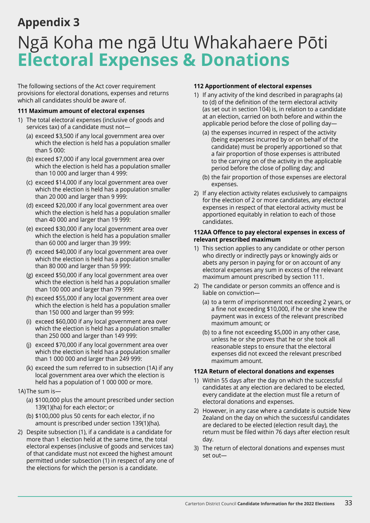## <span id="page-32-0"></span>**Appendix 3**

## Ngā Koha me ngā Utu Whakahaere Pōti **Electoral Expenses & Donations**

The following sections of the Act cover requirement provisions for electoral donations, expenses and returns which all candidates should be aware of.

#### **111 Maximum amount of electoral expenses**

- 1) The total electoral expenses (inclusive of goods and services tax) of a candidate must not—
	- (a) exceed \$3,500 if any local government area over which the election is held has a population smaller than 5 000:
	- (b) exceed \$7,000 if any local government area over which the election is held has a population smaller than 10 000 and larger than 4 999:
	- (c) exceed \$14,000 if any local government area over which the election is held has a population smaller than 20 000 and larger than 9 999:
	- (d) exceed \$20,000 if any local government area over which the election is held has a population smaller than 40 000 and larger than 19 999:
	- (e) exceed \$30,000 if any local government area over which the election is held has a population smaller than 60 000 and larger than 39 999:
	- (f) exceed \$40,000 if any local government area over which the election is held has a population smaller than 80 000 and larger than 59 999:
	- (g) exceed \$50,000 if any local government area over which the election is held has a population smaller than 100 000 and larger than 79 999:
	- (h) exceed \$55,000 if any local government area over which the election is held has a population smaller than 150 000 and larger than 99 999:
	- (i) exceed \$60,000 if any local government area over which the election is held has a population smaller than 250 000 and larger than 149 999:
	- (j) exceed \$70,000 if any local government area over which the election is held has a population smaller than 1 000 000 and larger than 249 999:
	- (k) exceed the sum referred to in subsection (1A) if any local government area over which the election is held has a population of 1 000 000 or more.
- 1A)The sum is—
	- (a) \$100,000 plus the amount prescribed under section 139(1)(ha) for each elector; or
	- (b) \$100,000 plus 50 cents for each elector, if no amount is prescribed under section 139(1)(ha).
- 2) Despite subsection (1), if a candidate is a candidate for more than 1 election held at the same time, the total electoral expenses (inclusive of goods and services tax) of that candidate must not exceed the highest amount permitted under subsection (1) in respect of any one of the elections for which the person is a candidate.

#### **112 Apportionment of electoral expenses**

- 1) If any activity of the kind described in paragraphs (a) to (d) of the definition of the term electoral activity (as set out in section 104) is, in relation to a candidate at an election, carried on both before and within the applicable period before the close of polling day—
	- (a) the expenses incurred in respect of the activity (being expenses incurred by or on behalf of the candidate) must be properly apportioned so that a fair proportion of those expenses is attributed to the carrying on of the activity in the applicable period before the close of polling day; and
	- (b) the fair proportion of those expenses are electoral expenses.
- 2) If any election activity relates exclusively to campaigns for the election of 2 or more candidates, any electoral expenses in respect of that electoral activity must be apportioned equitably in relation to each of those candidates.

#### **112AA Offence to pay electoral expenses in excess of relevant prescribed maximum**

- 1) This section applies to any candidate or other person who directly or indirectly pays or knowingly aids or abets any person in paying for or on account of any electoral expenses any sum in excess of the relevant maximum amount prescribed by section 111.
- 2) The candidate or person commits an offence and is liable on conviction—
	- (a) to a term of imprisonment not exceeding 2 years, or a fine not exceeding \$10,000, if he or she knew the payment was in excess of the relevant prescribed maximum amount; or
	- (b) to a fine not exceeding \$5,000 in any other case, unless he or she proves that he or she took all reasonable steps to ensure that the electoral expenses did not exceed the relevant prescribed maximum amount.

#### **112A Return of electoral donations and expenses**

- 1) Within 55 days after the day on which the successful candidates at any election are declared to be elected, every candidate at the election must file a return of electoral donations and expenses.
- 2) However, in any case where a candidate is outside New Zealand on the day on which the successful candidates are declared to be elected (election result day), the return must be filed within 76 days after election result day.
- 3) The return of electoral donations and expenses must set out—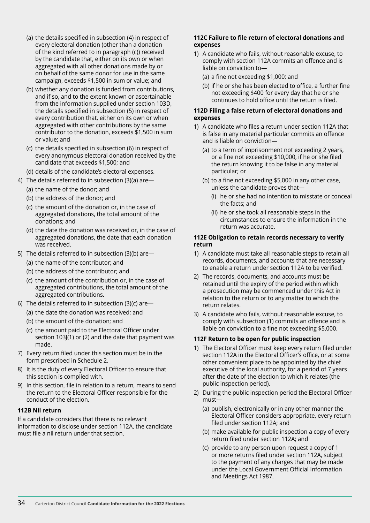- (a) the details specified in subsection (4) in respect of every electoral donation (other than a donation of the kind referred to in paragraph (c)) received by the candidate that, either on its own or when aggregated with all other donations made by or on behalf of the same donor for use in the same campaign, exceeds \$1,500 in sum or value; and
- (b) whether any donation is funded from contributions, and if so, and to the extent known or ascertainable from the information supplied under section 103D, the details specified in subsection (5) in respect of every contribution that, either on its own or when aggregated with other contributions by the same contributor to the donation, exceeds \$1,500 in sum or value; and
- (c) the details specified in subsection (6) in respect of every anonymous electoral donation received by the candidate that exceeds \$1,500; and
- (d) details of the candidate's electoral expenses.
- 4) The details referred to in subsection (3)(a) are—
	- (a) the name of the donor; and
	- (b) the address of the donor; and
	- (c) the amount of the donation or, in the case of aggregated donations, the total amount of the donations; and
	- (d) the date the donation was received or, in the case of aggregated donations, the date that each donation was received.
- 5) The details referred to in subsection (3)(b) are—
	- (a) the name of the contributor; and
	- (b) the address of the contributor; and
	- (c) the amount of the contribution or, in the case of aggregated contributions, the total amount of the aggregated contributions.
- 6) The details referred to in subsection (3)(c) are—
	- (a) the date the donation was received; and
	- (b) the amount of the donation; and
	- (c) the amount paid to the Electoral Officer under section 103J(1) or (2) and the date that payment was made.
- 7) Every return filed under this section must be in the form prescribed in Schedule 2.
- 8) It is the duty of every Electoral Officer to ensure that this section is complied with.
- 9) In this section, file in relation to a return, means to send the return to the Electoral Officer responsible for the conduct of the election.

#### **112B Nil return**

If a candidate considers that there is no relevant information to disclose under section 112A, the candidate must file a nil return under that section.

#### **112C Failure to file return of electoral donations and expenses**

- 1) A candidate who fails, without reasonable excuse, to comply with section 112A commits an offence and is liable on conviction to—
	- (a) a fine not exceeding \$1,000; and
	- (b) if he or she has been elected to office, a further fine not exceeding \$400 for every day that he or she continues to hold office until the return is filed.

#### **112D Filing a false return of electoral donations and expenses**

- 1) A candidate who files a return under section 112A that is false in any material particular commits an offence and is liable on conviction—
	- (a) to a term of imprisonment not exceeding 2 years, or a fine not exceeding \$10,000, if he or she filed the return knowing it to be false in any material particular; or
	- (b) to a fine not exceeding \$5,000 in any other case, unless the candidate proves that—
		- (i) he or she had no intention to misstate or conceal the facts; and
		- (ii) he or she took all reasonable steps in the circumstances to ensure the information in the return was accurate.

#### **112E Obligation to retain records necessary to verify return**

- 1) A candidate must take all reasonable steps to retain all records, documents, and accounts that are necessary to enable a return under section 112A to be verified.
- 2) The records, documents, and accounts must be retained until the expiry of the period within which a prosecution may be commenced under this Act in relation to the return or to any matter to which the return relates.
- 3) A candidate who fails, without reasonable excuse, to comply with subsection (1) commits an offence and is liable on conviction to a fine not exceeding \$5,000.

#### **112F Return to be open for public inspection**

- 1) The Electoral Officer must keep every return filed under section 112A in the Electoral Officer's office, or at some other convenient place to be appointed by the chief executive of the local authority, for a period of 7 years after the date of the election to which it relates (the public inspection period).
- 2) During the public inspection period the Electoral Officer must—
	- (a) publish, electronically or in any other manner the Electoral Officer considers appropriate, every return filed under section 112A; and
	- (b) make available for public inspection a copy of every return filed under section 112A; and
	- (c) provide to any person upon request a copy of 1 or more returns filed under section 112A, subject to the payment of any charges that may be made under the Local Government Official Information and Meetings Act 1987.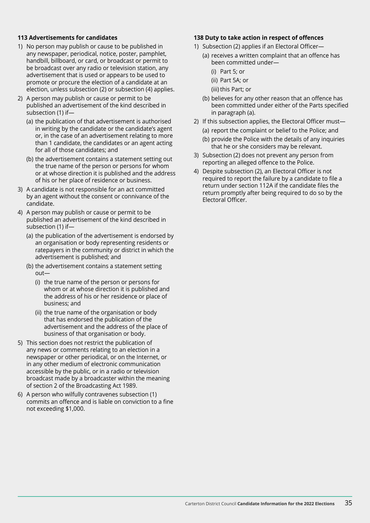#### **113 Advertisements for candidates**

- 1) No person may publish or cause to be published in any newspaper, periodical, notice, poster, pamphlet, handbill, billboard, or card, or broadcast or permit to be broadcast over any radio or television station, any advertisement that is used or appears to be used to promote or procure the election of a candidate at an election, unless subsection (2) or subsection (4) applies.
- 2) A person may publish or cause or permit to be published an advertisement of the kind described in subsection (1) if—
	- (a) the publication of that advertisement is authorised in writing by the candidate or the candidate's agent or, in the case of an advertisement relating to more than 1 candidate, the candidates or an agent acting for all of those candidates; and
	- (b) the advertisement contains a statement setting out the true name of the person or persons for whom or at whose direction it is published and the address of his or her place of residence or business.
- 3) A candidate is not responsible for an act committed by an agent without the consent or connivance of the candidate.
- 4) A person may publish or cause or permit to be published an advertisement of the kind described in subsection (1) if—
	- (a) the publication of the advertisement is endorsed by an organisation or body representing residents or ratepayers in the community or district in which the advertisement is published; and
	- (b) the advertisement contains a statement setting  $\Omega$ ut—
		- (i) the true name of the person or persons for whom or at whose direction it is published and the address of his or her residence or place of business; and
		- (ii) the true name of the organisation or body that has endorsed the publication of the advertisement and the address of the place of business of that organisation or body.
- 5) This section does not restrict the publication of any news or comments relating to an election in a newspaper or other periodical, or on the Internet, or in any other medium of electronic communication accessible by the public, or in a radio or television broadcast made by a broadcaster within the meaning of section 2 of the Broadcasting Act 1989.
- 6) A person who wilfully contravenes subsection (1) commits an offence and is liable on conviction to a fine not exceeding \$1,000.

#### **138 Duty to take action in respect of offences**

- 1) Subsection (2) applies if an Electoral Officer—
	- (a) receives a written complaint that an offence has been committed under—
		- (i) Part 5; or
		- (ii) Part 5A; or
		- (iii) this Part; or
	- (b) believes for any other reason that an offence has been committed under either of the Parts specified in paragraph (a).
- 2) If this subsection applies, the Electoral Officer must—
	- (a) report the complaint or belief to the Police; and
	- (b) provide the Police with the details of any inquiries that he or she considers may be relevant.
- 3) Subsection (2) does not prevent any person from reporting an alleged offence to the Police.
- 4) Despite subsection (2), an Electoral Officer is not required to report the failure by a candidate to file a return under section 112A if the candidate files the return promptly after being required to do so by the Electoral Officer.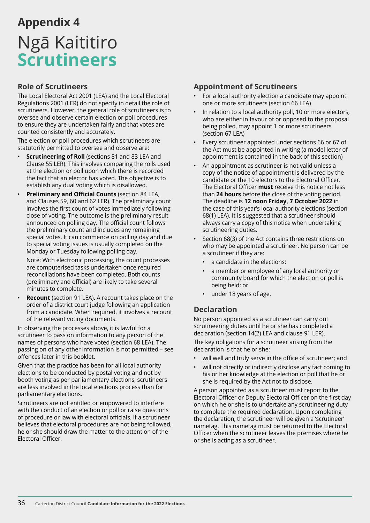## <span id="page-35-0"></span>**Appendix 4** Ngā Kaititiro **Scrutineers**

## **Role of Scrutineers**

The Local Electoral Act 2001 (LEA) and the Local Electoral Regulations 2001 (LER) do not specify in detail the role of scrutineers. However, the general role of scrutineers is to oversee and observe certain election or poll procedures to ensure they are undertaken fairly and that votes are counted consistently and accurately.

The election or poll procedures which scrutineers are statutorily permitted to oversee and observe are:

- **Scrutineering of Roll** (sections 81 and 83 LEA and Clause 55 LER). This involves comparing the rolls used at the election or poll upon which there is recorded the fact that an elector has voted. The objective is to establish any dual voting which is disallowed.
- **Preliminary and Official Counts** (section 84 LEA, and Clauses 59, 60 and 62 LER). The preliminary count involves the first count of votes immediately following close of voting. The outcome is the preliminary result announced on polling day. The official count follows the preliminary count and includes any remaining special votes. It can commence on polling day and due to special voting issues is usually completed on the Monday or Tuesday following polling day.

Note: With electronic processing, the count processes are computerised tasks undertaken once required reconciliations have been completed. Both counts (preliminary and official) are likely to take several minutes to complete.

**Recount** (section 91 LEA). A recount takes place on the order of a district court judge following an application from a candidate. When required, it involves a recount of the relevant voting documents.

In observing the processes above, it is lawful for a scrutineer to pass on information to any person of the names of persons who have voted (section 68 LEA). The passing on of any other information is not permitted – see offences later in this booklet.

Given that the practice has been for all local authority elections to be conducted by postal voting and not by booth voting as per parliamentary elections, scrutineers are less involved in the local elections process than for parliamentary elections.

Scrutineers are not entitled or empowered to interfere with the conduct of an election or poll or raise questions of procedure or law with electoral officials. If a scrutineer believes that electoral procedures are not being followed, he or she should draw the matter to the attention of the Electoral Officer.

## **Appointment of Scrutineers**

- For a local authority election a candidate may appoint one or more scrutineers (section 66 LEA)
- In relation to a local authority poll, 10 or more electors, who are either in favour of or opposed to the proposal being polled, may appoint 1 or more scrutineers (section 67 LEA)
- Every scrutineer appointed under sections 66 or 67 of the Act must be appointed in writing (a model letter of appointment is contained in the back of this section)
- An appointment as scrutineer is not valid unless a copy of the notice of appointment is delivered by the candidate or the 10 electors to the Electoral Officer. The Electoral Officer **must** receive this notice not less than **24 hours** before the close of the voting period. The deadline is **12 noon Friday, 7 October 2022** in the case of this year's local authority elections (section 68(1) LEA). It is suggested that a scrutineer should always carry a copy of this notice when undertaking scrutineering duties.
- Section 68(3) of the Act contains three restrictions on who may be appointed a scrutineer. No person can be a scrutineer if they are:
	- a candidate in the elections;
	- a member or employee of any local authority or community board for which the election or poll is being held; or
	- under 18 years of age.

## **Declaration**

No person appointed as a scrutineer can carry out scrutineering duties until he or she has completed a declaration (section 14(2) LEA and clause 91 LER).

The key obligations for a scrutineer arising from the declaration is that he or she:

- will well and truly serve in the office of scrutineer; and
- will not directly or indirectly disclose any fact coming to his or her knowledge at the election or poll that he or she is required by the Act not to disclose.

A person appointed as a scrutineer must report to the Electoral Officer or Deputy Electoral Officer on the first day on which he or she is to undertake any scrutineering duty to complete the required declaration. Upon completing the declaration, the scrutineer will be given a 'scrutineer' nametag. This nametag must be returned to the Electoral Officer when the scrutineer leaves the premises where he or she is acting as a scrutineer.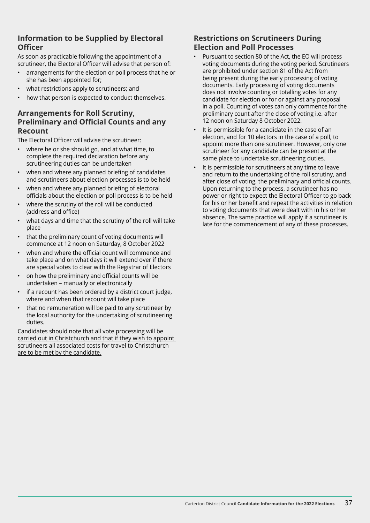## **Information to be Supplied by Electoral Officer**

As soon as practicable following the appointment of a scrutineer, the Electoral Officer will advise that person of:

- arrangements for the election or poll process that he or she has been appointed for;
- what restrictions apply to scrutineers; and
- how that person is expected to conduct themselves.

### **Arrangements for Roll Scrutiny, Preliminary and Official Counts and any Recount**

The Electoral Officer will advise the scrutineer:

- where he or she should go, and at what time, to complete the required declaration before any scrutineering duties can be undertaken
- when and where any planned briefing of candidates and scrutineers about election processes is to be held
- when and where any planned briefing of electoral officials about the election or poll process is to be held
- where the scrutiny of the roll will be conducted (address and office)
- what days and time that the scrutiny of the roll will take place
- that the preliminary count of voting documents will commence at 12 noon on Saturday, 8 October 2022
- when and where the official count will commence and take place and on what days it will extend over if there are special votes to clear with the Registrar of Electors
- on how the preliminary and official counts will be undertaken – manually or electronically
- if a recount has been ordered by a district court judge, where and when that recount will take place
- that no remuneration will be paid to any scrutineer by the local authority for the undertaking of scrutineering duties.

Candidates should note that all vote processing will be carried out in Christchurch and that if they wish to appoint scrutineers all associated costs for travel to Christchurch are to be met by the candidate.

## **Restrictions on Scrutineers During Election and Poll Processes**

- Pursuant to section 80 of the Act, the EO will process voting documents during the voting period. Scrutineers are prohibited under section 81 of the Act from being present during the early processing of voting documents. Early processing of voting documents does not involve counting or totalling votes for any candidate for election or for or against any proposal in a poll. Counting of votes can only commence for the preliminary count after the close of voting i.e. after 12 noon on Saturday 8 October 2022.
- It is permissible for a candidate in the case of an election, and for 10 electors in the case of a poll, to appoint more than one scrutineer. However, only one scrutineer for any candidate can be present at the same place to undertake scrutineering duties.
- It is permissible for scrutineers at any time to leave and return to the undertaking of the roll scrutiny, and after close of voting, the preliminary and official counts. Upon returning to the process, a scrutineer has no power or right to expect the Electoral Officer to go back for his or her benefit and repeat the activities in relation to voting documents that were dealt with in his or her absence. The same practice will apply if a scrutineer is late for the commencement of any of these processes.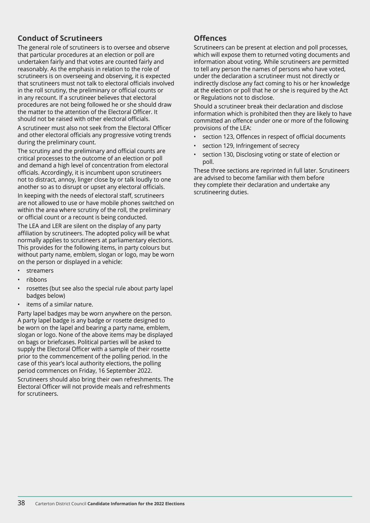## **Conduct of Scrutineers**

The general role of scrutineers is to oversee and observe that particular procedures at an election or poll are undertaken fairly and that votes are counted fairly and reasonably. As the emphasis in relation to the role of scrutineers is on overseeing and observing, it is expected that scrutineers must not talk to electoral officials involved in the roll scrutiny, the preliminary or official counts or in any recount. If a scrutineer believes that electoral procedures are not being followed he or she should draw the matter to the attention of the Electoral Officer. It should not be raised with other electoral officials.

A scrutineer must also not seek from the Electoral Officer and other electoral officials any progressive voting trends during the preliminary count.

The scrutiny and the preliminary and official counts are critical processes to the outcome of an election or poll and demand a high level of concentration from electoral officials. Accordingly, it is incumbent upon scrutineers not to distract, annoy, linger close by or talk loudly to one another so as to disrupt or upset any electoral officials.

In keeping with the needs of electoral staff, scrutineers are not allowed to use or have mobile phones switched on within the area where scrutiny of the roll, the preliminary or official count or a recount is being conducted.

The LEA and LER are silent on the display of any party affiliation by scrutineers. The adopted policy will be what normally applies to scrutineers at parliamentary elections. This provides for the following items, in party colours but without party name, emblem, slogan or logo, may be worn on the person or displayed in a vehicle:

- streamers
- ribbons
- rosettes (but see also the special rule about party lapel badges below)
- items of a similar nature.

Party lapel badges may be worn anywhere on the person. A party lapel badge is any badge or rosette designed to be worn on the lapel and bearing a party name, emblem, slogan or logo. None of the above items may be displayed on bags or briefcases. Political parties will be asked to supply the Electoral Officer with a sample of their rosette prior to the commencement of the polling period. In the case of this year's local authority elections, the polling period commences on Friday, 16 September 2022.

Scrutineers should also bring their own refreshments. The Electoral Officer will not provide meals and refreshments for scrutineers.

### **Offences**

Scrutineers can be present at election and poll processes, which will expose them to returned voting documents and information about voting. While scrutineers are permitted to tell any person the names of persons who have voted, under the declaration a scrutineer must not directly or indirectly disclose any fact coming to his or her knowledge at the election or poll that he or she is required by the Act or Regulations not to disclose.

Should a scrutineer break their declaration and disclose information which is prohibited then they are likely to have committed an offence under one or more of the following provisions of the LEA:

- section 123, Offences in respect of official documents
- section 129, Infringement of secrecy
- section 130, Disclosing voting or state of election or poll.

These three sections are reprinted in full later. Scrutineers are advised to become familiar with them before they complete their declaration and undertake any scrutineering duties.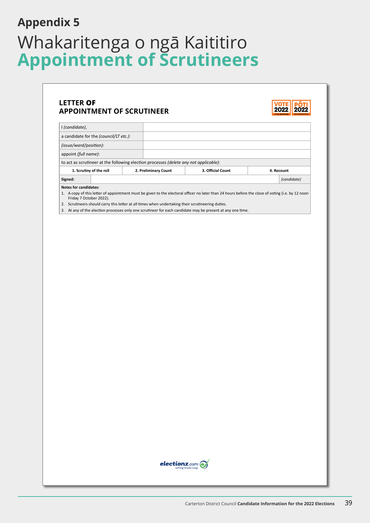## <span id="page-38-0"></span>Whakaritenga o ngā Kaititiro **Appointment of Scrutineers Appendix 5**

## **LETTER OF APPOINTMENT OF SCRUTINEER**



| I (candidate),                                                                        |  |                      |                                                                                                                                                   |             |
|---------------------------------------------------------------------------------------|--|----------------------|---------------------------------------------------------------------------------------------------------------------------------------------------|-------------|
| a candidate for the <i>(council/LT etc.)</i> :                                        |  |                      |                                                                                                                                                   |             |
| (issue/ward/position):                                                                |  |                      |                                                                                                                                                   |             |
| appoint (full name):                                                                  |  |                      |                                                                                                                                                   |             |
| to act as scrutineer at the following election processes (delete any not applicable): |  |                      |                                                                                                                                                   |             |
| 1. Scrutiny of the roll                                                               |  |                      |                                                                                                                                                   |             |
|                                                                                       |  | 2. Preliminary Count | 3. Official Count                                                                                                                                 | 4. Recount  |
| Signed:                                                                               |  |                      |                                                                                                                                                   | (candidate) |
| Notes for candidates:                                                                 |  |                      |                                                                                                                                                   |             |
| Friday 7 October 2022).                                                               |  |                      | 1. A copy of this letter of appointment must be given to the electoral officer no later than 24 hours before the close of voting (i.e. by 12 noon |             |

3. At any of the election processes only one scrutineer for each candidate may be present at any one time.

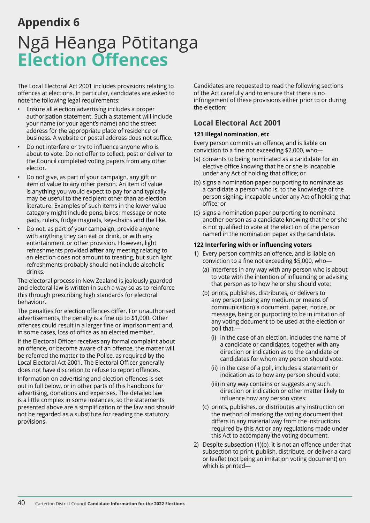## <span id="page-39-0"></span>**Appendix 6** Ngā Hēanga Pōtitanga **Election Offences**

The Local Electoral Act 2001 includes provisions relating to offences at elections. In particular, candidates are asked to note the following legal requirements:

- Ensure all election advertising includes a proper authorisation statement. Such a statement will include your name (or your agent's name) and the street address for the appropriate place of residence or business. A website or postal address does not suffice.
- Do not interfere or try to influence anyone who is about to vote. Do not offer to collect, post or deliver to the Council completed voting papers from any other elector.
- Do not give, as part of your campaign, any gift or item of value to any other person. An item of value is anything you would expect to pay for and typically may be useful to the recipient other than as election literature. Examples of such items in the lower value category might include pens, biros, message or note pads, rulers, fridge magnets, key-chains and the like.
- Do not, as part of your campaign, provide anyone with anything they can eat or drink, or with any entertainment or other provision. However, light refreshments provided **after** any meeting relating to an election does not amount to treating, but such light refreshments probably should not include alcoholic drinks.

The electoral process in New Zealand is jealously guarded and electoral law is written in such a way so as to reinforce this through prescribing high standards for electoral behaviour.

The penalties for election offences differ. For unauthorised advertisements, the penalty is a fine up to \$1,000. Other offences could result in a larger fine or imprisonment and, in some cases, loss of office as an elected member.

If the Electoral Officer receives any formal complaint about an offence, or become aware of an offence, the matter will be referred the matter to the Police, as required by the Local Electoral Act 2001. The Electoral Officer generally does not have discretion to refuse to report offences.

Information on advertising and election offences is set out in full below, or in other parts of this handbook for advertising, donations and expenses. The detailed law is a little complex in some instances, so the statements presented above are a simplification of the law and should not be regarded as a substitute for reading the statutory provisions.

Candidates are requested to read the following sections of the Act carefully and to ensure that there is no infringement of these provisions either prior to or during the election:

## **Local Electoral Act 2001**

#### **121 Illegal nomination, etc**

Every person commits an offence, and is liable on conviction to a fine not exceeding \$2,000, who—

- (a) consents to being nominated as a candidate for an elective office knowing that he or she is incapable under any Act of holding that office; or
- (b) signs a nomination paper purporting to nominate as a candidate a person who is, to the knowledge of the person signing, incapable under any Act of holding that office; or
- (c) signs a nomination paper purporting to nominate another person as a candidate knowing that he or she is not qualified to vote at the election of the person named in the nomination paper as the candidate.

#### **122 Interfering with or influencing voters**

- 1) Every person commits an offence, and is liable on conviction to a fine not exceeding \$5,000, who—
	- (a) interferes in any way with any person who is about to vote with the intention of influencing or advising that person as to how he or she should vote:
	- (b) prints, publishes, distributes, or delivers to any person (using any medium or means of communication) a document, paper, notice, or message, being or purporting to be in imitation of any voting document to be used at the election or poll that,—
		- (i) in the case of an election, includes the name of a candidate or candidates, together with any direction or indication as to the candidate or candidates for whom any person should vote:
		- (ii) in the case of a poll, includes a statement or indication as to how any person should vote:
		- (iii) in any way contains or suggests any such direction or indication or other matter likely to influence how any person votes:
	- (c) prints, publishes, or distributes any instruction on the method of marking the voting document that differs in any material way from the instructions required by this Act or any regulations made under this Act to accompany the voting document.
- 2) Despite subsection (1)(b), it is not an offence under that subsection to print, publish, distribute, or deliver a card or leaflet (not being an imitation voting document) on which is printed-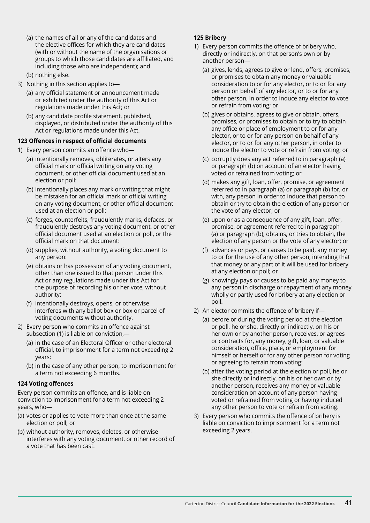- (a) the names of all or any of the candidates and the elective offices for which they are candidates (with or without the name of the organisations or groups to which those candidates are affiliated, and including those who are independent); and
- (b) nothing else. 3) Nothing in this section applies to—
	- (a) any official statement or announcement made or exhibited under the authority of this Act or regulations made under this Act; or
	- (b) any candidate profile statement, published, displayed, or distributed under the authority of this Act or regulations made under this Act.

#### **123 Offences in respect of official documents**

- 1) Every person commits an offence who—
	- (a) intentionally removes, obliterates, or alters any official mark or official writing on any voting document, or other official document used at an election or poll:
	- (b) intentionally places any mark or writing that might be mistaken for an official mark or official writing on any voting document, or other official document used at an election or poll:
	- (c) forges, counterfeits, fraudulently marks, defaces, or fraudulently destroys any voting document, or other official document used at an election or poll, or the official mark on that document:
	- (d) supplies, without authority, a voting document to any person:
	- (e) obtains or has possession of any voting document, other than one issued to that person under this Act or any regulations made under this Act for the purpose of recording his or her vote, without authority:
	- (f) intentionally destroys, opens, or otherwise interferes with any ballot box or box or parcel of voting documents without authority.
- 2) Every person who commits an offence against subsection (1) is liable on conviction,—
	- (a) in the case of an Electoral Officer or other electoral official, to imprisonment for a term not exceeding 2 years:
	- (b) in the case of any other person, to imprisonment for a term not exceeding 6 months.

#### **124 Voting offences**

Every person commits an offence, and is liable on conviction to imprisonment for a term not exceeding 2 years, who—

- (a) votes or applies to vote more than once at the same election or poll; or
- (b) without authority, removes, deletes, or otherwise interferes with any voting document, or other record of a vote that has been cast.

#### **125 Bribery**

- 1) Every person commits the offence of bribery who, directly or indirectly, on that person's own or by another person—
	- (a) gives, lends, agrees to give or lend, offers, promises, or promises to obtain any money or valuable consideration to or for any elector, or to or for any person on behalf of any elector, or to or for any other person, in order to induce any elector to vote or refrain from voting; or
	- (b) gives or obtains, agrees to give or obtain, offers, promises, or promises to obtain or to try to obtain any office or place of employment to or for any elector, or to or for any person on behalf of any elector, or to or for any other person, in order to induce the elector to vote or refrain from voting; or
	- (c) corruptly does any act referred to in paragraph (a) or paragraph (b) on account of an elector having voted or refrained from voting; or
	- (d) makes any gift, loan, offer, promise, or agreement referred to in paragraph (a) or paragraph (b) for, or with, any person in order to induce that person to obtain or try to obtain the election of any person or the vote of any elector; or
	- (e) upon or as a consequence of any gift, loan, offer, promise, or agreement referred to in paragraph (a) or paragraph (b), obtains, or tries to obtain, the election of any person or the vote of any elector; or
	- (f) advances or pays, or causes to be paid, any money to or for the use of any other person, intending that that money or any part of it will be used for bribery at any election or poll; or
	- (g) knowingly pays or causes to be paid any money to any person in discharge or repayment of any money wholly or partly used for bribery at any election or poll.
- 2) An elector commits the offence of bribery if—
	- (a) before or during the voting period at the election or poll, he or she, directly or indirectly, on his or her own or by another person, receives, or agrees or contracts for, any money, gift, loan, or valuable consideration, office, place, or employment for himself or herself or for any other person for voting or agreeing to refrain from voting:
	- (b) after the voting period at the election or poll, he or she directly or indirectly, on his or her own or by another person, receives any money or valuable consideration on account of any person having voted or refrained from voting or having induced any other person to vote or refrain from voting.
- 3) Every person who commits the offence of bribery is liable on conviction to imprisonment for a term not exceeding 2 years.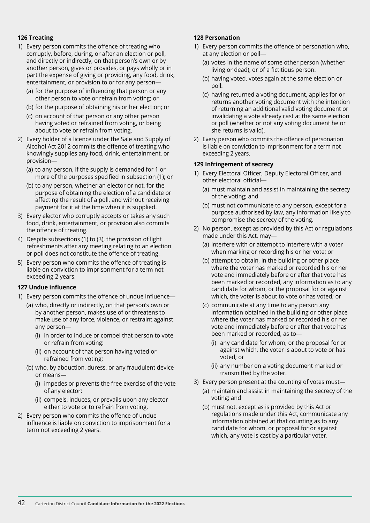#### **126 Treating**

- 1) Every person commits the offence of treating who corruptly, before, during, or after an election or poll, and directly or indirectly, on that person's own or by another person, gives or provides, or pays wholly or in part the expense of giving or providing, any food, drink, entertainment, or provision to or for any person—
	- (a) for the purpose of influencing that person or any other person to vote or refrain from voting; or
	- (b) for the purpose of obtaining his or her election; or
	- (c) on account of that person or any other person having voted or refrained from voting, or being about to vote or refrain from voting.
- 2) Every holder of a licence under the Sale and Supply of Alcohol Act 2012 commits the offence of treating who knowingly supplies any food, drink, entertainment, or provision—
	- (a) to any person, if the supply is demanded for 1 or more of the purposes specified in subsection (1); or
	- (b) to any person, whether an elector or not, for the purpose of obtaining the election of a candidate or affecting the result of a poll, and without receiving payment for it at the time when it is supplied.
- 3) Every elector who corruptly accepts or takes any such food, drink, entertainment, or provision also commits the offence of treating.
- 4) Despite subsections (1) to (3), the provision of light refreshments after any meeting relating to an election or poll does not constitute the offence of treating.
- 5) Every person who commits the offence of treating is liable on conviction to imprisonment for a term not exceeding 2 years.

#### **127 Undue influence**

- 1) Every person commits the offence of undue influence—
	- (a) who, directly or indirectly, on that person's own or by another person, makes use of or threatens to make use of any force, violence, or restraint against any person—
		- (i) in order to induce or compel that person to vote or refrain from voting:
		- (ii) on account of that person having voted or refrained from voting:
	- (b) who, by abduction, duress, or any fraudulent device or means—
		- (i) impedes or prevents the free exercise of the vote of any elector:
		- (ii) compels, induces, or prevails upon any elector either to vote or to refrain from voting.
- 2) Every person who commits the offence of undue influence is liable on conviction to imprisonment for a term not exceeding 2 years.

#### **128 Personation**

- 1) Every person commits the offence of personation who, at any election or poll—
	- (a) votes in the name of some other person (whether living or dead), or of a fictitious person:
	- (b) having voted, votes again at the same election or poll:
	- (c) having returned a voting document, applies for or returns another voting document with the intention of returning an additional valid voting document or invalidating a vote already cast at the same election or poll (whether or not any voting document he or she returns is valid).
- 2) Every person who commits the offence of personation is liable on conviction to imprisonment for a term not exceeding 2 years.

#### **129 Infringement of secrecy**

- 1) Every Electoral Officer, Deputy Electoral Officer, and other electoral official—
	- (a) must maintain and assist in maintaining the secrecy of the voting; and
	- (b) must not communicate to any person, except for a purpose authorised by law, any information likely to compromise the secrecy of the voting.
- 2) No person, except as provided by this Act or regulations made under this Act, may—
	- (a) interfere with or attempt to interfere with a voter when marking or recording his or her vote; or
	- (b) attempt to obtain, in the building or other place where the voter has marked or recorded his or her vote and immediately before or after that vote has been marked or recorded, any information as to any candidate for whom, or the proposal for or against which, the voter is about to vote or has voted; or
	- (c) communicate at any time to any person any information obtained in the building or other place where the voter has marked or recorded his or her vote and immediately before or after that vote has been marked or recorded, as to—
		- (i) any candidate for whom, or the proposal for or against which, the voter is about to vote or has voted; or
		- (ii) any number on a voting document marked or transmitted by the voter.
- 3) Every person present at the counting of votes must—
	- (a) maintain and assist in maintaining the secrecy of the voting; and
	- (b) must not, except as is provided by this Act or regulations made under this Act, communicate any information obtained at that counting as to any candidate for whom, or proposal for or against which, any vote is cast by a particular voter.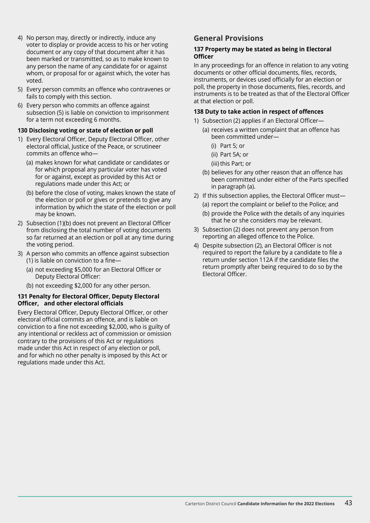- 4) No person may, directly or indirectly, induce any voter to display or provide access to his or her voting document or any copy of that document after it has been marked or transmitted, so as to make known to any person the name of any candidate for or against whom, or proposal for or against which, the voter has voted.
- 5) Every person commits an offence who contravenes or fails to comply with this section.
- 6) Every person who commits an offence against subsection (5) is liable on conviction to imprisonment for a term not exceeding 6 months.

#### **130 Disclosing voting or state of election or poll**

- 1) Every Electoral Officer, Deputy Electoral Officer, other electoral official, Justice of the Peace, or scrutineer commits an offence who—
	- (a) makes known for what candidate or candidates or for which proposal any particular voter has voted for or against, except as provided by this Act or regulations made under this Act; or
	- (b) before the close of voting, makes known the state of the election or poll or gives or pretends to give any information by which the state of the election or poll may be known.
- 2) Subsection (1)(b) does not prevent an Electoral Officer from disclosing the total number of voting documents so far returned at an election or poll at any time during the voting period.
- 3) A person who commits an offence against subsection (1) is liable on conviction to a fine—
	- (a) not exceeding \$5,000 for an Electoral Officer or Deputy Electoral Officer:
	- (b) not exceeding \$2,000 for any other person.

#### **131 Penalty for Electoral Officer, Deputy Electoral Officer, and other electoral officials**

Every Electoral Officer, Deputy Electoral Officer, or other electoral official commits an offence, and is liable on conviction to a fine not exceeding \$2,000, who is guilty of any intentional or reckless act of commission or omission contrary to the provisions of this Act or regulations made under this Act in respect of any election or poll, and for which no other penalty is imposed by this Act or regulations made under this Act.

### **General Provisions**

#### **137 Property may be stated as being in Electoral Officer**

In any proceedings for an offence in relation to any voting documents or other official documents, files, records, instruments, or devices used officially for an election or poll, the property in those documents, files, records, and instruments is to be treated as that of the Electoral Officer at that election or poll.

#### **138 Duty to take action in respect of offences**

- 1) Subsection (2) applies if an Electoral Officer—
	- (a) receives a written complaint that an offence has been committed under—
		- (i) Part 5; or
		- (ii) Part 5A; or
		- (iii) this Part; or
	- (b) believes for any other reason that an offence has been committed under either of the Parts specified in paragraph (a).
- 2) If this subsection applies, the Electoral Officer must— (a) report the complaint or belief to the Police; and
	- (b) provide the Police with the details of any inquiries that he or she considers may be relevant.
- 3) Subsection (2) does not prevent any person from reporting an alleged offence to the Police.
- 4) Despite subsection (2), an Electoral Officer is not required to report the failure by a candidate to file a return under section 112A if the candidate files the return promptly after being required to do so by the Electoral Officer.